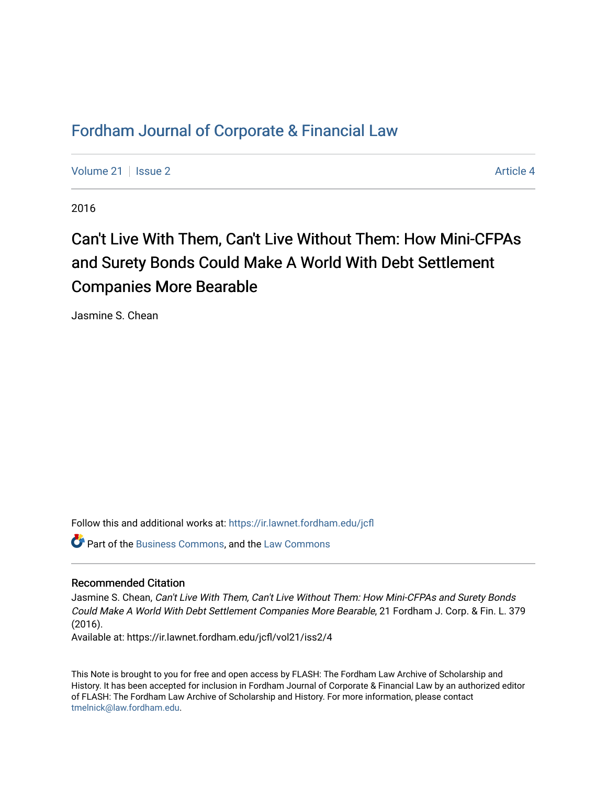# [Fordham Journal of Corporate & Financial Law](https://ir.lawnet.fordham.edu/jcfl)

[Volume 21](https://ir.lawnet.fordham.edu/jcfl/vol21) | [Issue 2](https://ir.lawnet.fordham.edu/jcfl/vol21/iss2) Article 4

2016

# Can't Live With Them, Can't Live Without Them: How Mini-CFPAs and Surety Bonds Could Make A World With Debt Settlement Companies More Bearable

Jasmine S. Chean

Follow this and additional works at: [https://ir.lawnet.fordham.edu/jcfl](https://ir.lawnet.fordham.edu/jcfl?utm_source=ir.lawnet.fordham.edu%2Fjcfl%2Fvol21%2Fiss2%2F4&utm_medium=PDF&utm_campaign=PDFCoverPages) 

Part of the [Business Commons](http://network.bepress.com/hgg/discipline/622?utm_source=ir.lawnet.fordham.edu%2Fjcfl%2Fvol21%2Fiss2%2F4&utm_medium=PDF&utm_campaign=PDFCoverPages), and the [Law Commons](http://network.bepress.com/hgg/discipline/578?utm_source=ir.lawnet.fordham.edu%2Fjcfl%2Fvol21%2Fiss2%2F4&utm_medium=PDF&utm_campaign=PDFCoverPages)

#### Recommended Citation

Jasmine S. Chean, Can't Live With Them, Can't Live Without Them: How Mini-CFPAs and Surety Bonds Could Make A World With Debt Settlement Companies More Bearable, 21 Fordham J. Corp. & Fin. L. 379 (2016).

Available at: https://ir.lawnet.fordham.edu/jcfl/vol21/iss2/4

This Note is brought to you for free and open access by FLASH: The Fordham Law Archive of Scholarship and History. It has been accepted for inclusion in Fordham Journal of Corporate & Financial Law by an authorized editor of FLASH: The Fordham Law Archive of Scholarship and History. For more information, please contact [tmelnick@law.fordham.edu](mailto:tmelnick@law.fordham.edu).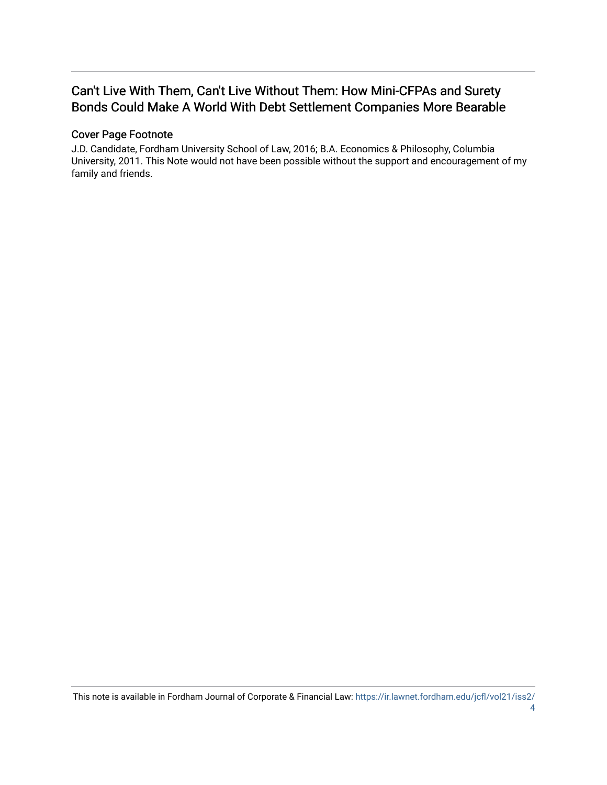# Can't Live With Them, Can't Live Without Them: How Mini-CFPAs and Surety Bonds Could Make A World With Debt Settlement Companies More Bearable

# Cover Page Footnote

J.D. Candidate, Fordham University School of Law, 2016; B.A. Economics & Philosophy, Columbia University, 2011. This Note would not have been possible without the support and encouragement of my family and friends.

This note is available in Fordham Journal of Corporate & Financial Law: [https://ir.lawnet.fordham.edu/jcfl/vol21/iss2/](https://ir.lawnet.fordham.edu/jcfl/vol21/iss2/4) [4](https://ir.lawnet.fordham.edu/jcfl/vol21/iss2/4)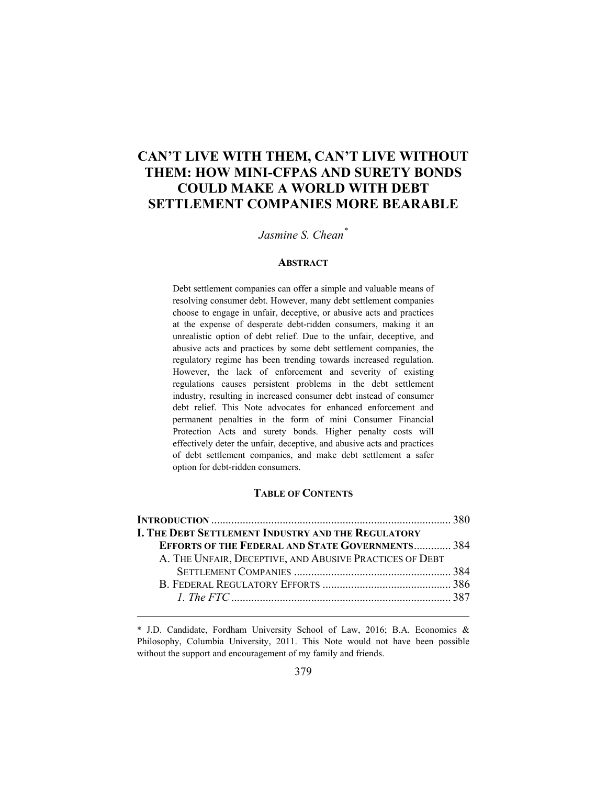# **CAN'T LIVE WITH THEM, CAN'T LIVE WITHOUT THEM: HOW MINI-CFPAS AND SURETY BONDS COULD MAKE A WORLD WITH DEBT SETTLEMENT COMPANIES MORE BEARABLE**

# *Jasmine S. Chean\**

#### **ABSTRACT**

Debt settlement companies can offer a simple and valuable means of resolving consumer debt. However, many debt settlement companies choose to engage in unfair, deceptive, or abusive acts and practices at the expense of desperate debt-ridden consumers, making it an unrealistic option of debt relief. Due to the unfair, deceptive, and abusive acts and practices by some debt settlement companies, the regulatory regime has been trending towards increased regulation. However, the lack of enforcement and severity of existing regulations causes persistent problems in the debt settlement industry, resulting in increased consumer debt instead of consumer debt relief. This Note advocates for enhanced enforcement and permanent penalties in the form of mini Consumer Financial Protection Acts and surety bonds. Higher penalty costs will effectively deter the unfair, deceptive, and abusive acts and practices of debt settlement companies, and make debt settlement a safer option for debt-ridden consumers.

## **TABLE OF CONTENTS**

| <b>I. THE DEBT SETTLEMENT INDUSTRY AND THE REGULATORY</b> |  |
|-----------------------------------------------------------|--|
| <b>EFFORTS OF THE FEDERAL AND STATE GOVERNMENTS 384</b>   |  |
| A. THE UNFAIR, DECEPTIVE, AND ABUSIVE PRACTICES OF DEBT   |  |
|                                                           |  |
|                                                           |  |
|                                                           |  |
|                                                           |  |

<sup>\*</sup> J.D. Candidate, Fordham University School of Law, 2016; B.A. Economics & Philosophy, Columbia University, 2011. This Note would not have been possible without the support and encouragement of my family and friends.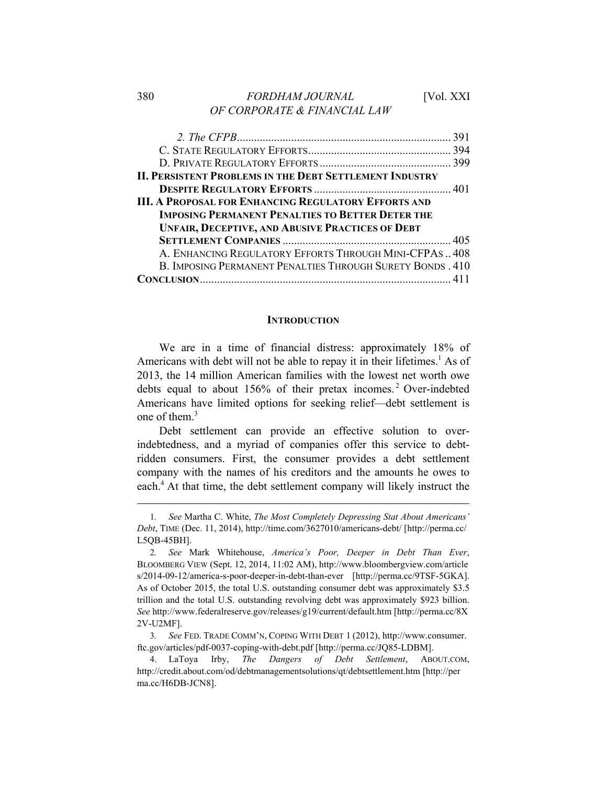# 380 *FORDHAM JOURNAL* [Vol. XXI *OF CORPORATE & FINANCIAL LAW*

| <b>II. PERSISTENT PROBLEMS IN THE DEBT SETTLEMENT INDUSTRY</b> |  |
|----------------------------------------------------------------|--|
|                                                                |  |
| <b>III. A PROPOSAL FOR ENHANCING REGULATORY EFFORTS AND</b>    |  |
| <b>IMPOSING PERMANENT PENALTIES TO BETTER DETER THE</b>        |  |
| <b>UNFAIR, DECEPTIVE, AND ABUSIVE PRACTICES OF DEBT</b>        |  |
|                                                                |  |
| A. ENHANCING REGULATORY EFFORTS THROUGH MINI-CFPAS 408         |  |
| B. IMPOSING PERMANENT PENALTIES THROUGH SURETY BONDS. 410      |  |
|                                                                |  |

# **INTRODUCTION**

We are in a time of financial distress: approximately 18% of Americans with debt will not be able to repay it in their lifetimes.<sup>1</sup> As of 2013, the 14 million American families with the lowest net worth owe debts equal to about 156% of their pretax incomes. 2 Over-indebted Americans have limited options for seeking relief—debt settlement is one of them  $3$ 

Debt settlement can provide an effective solution to overindebtedness, and a myriad of companies offer this service to debtridden consumers. First, the consumer provides a debt settlement company with the names of his creditors and the amounts he owes to each.<sup>4</sup> At that time, the debt settlement company will likely instruct the

<sup>1</sup>*. See* Martha C. White, *The Most Completely Depressing Stat About Americans' Debt*, TIME (Dec. 11, 2014), http://time.com/3627010/americans-debt/ [http://perma.cc/ L5QB-45BH].

<sup>2</sup>*. See* Mark Whitehouse, *America's Poor, Deeper in Debt Than Ever*, BLOOMBERG VIEW (Sept. 12, 2014, 11:02 AM), http://www.bloombergview.com/article s/2014-09-12/america-s-poor-deeper-in-debt-than-ever [http://perma.cc/9TSF-5GKA]. As of October 2015, the total U.S. outstanding consumer debt was approximately \$3.5 trillion and the total U.S. outstanding revolving debt was approximately \$923 billion. *See* http://www.federalreserve.gov/releases/g19/current/default.htm [http://perma.cc/8X 2V-U2MF].

<sup>3</sup>*. See* FED. TRADE COMM'N, COPING WITH DEBT 1 (2012), http://www.consumer. ftc.gov/articles/pdf-0037-coping-with-debt.pdf [http://perma.cc/JQ85-LDBM].

<sup>4.</sup> LaToya Irby, *The Dangers of Debt Settlement*, ABOUT.COM, http://credit.about.com/od/debtmanagementsolutions/qt/debtsettlement.htm [http://per ma.cc/H6DB-JCN8].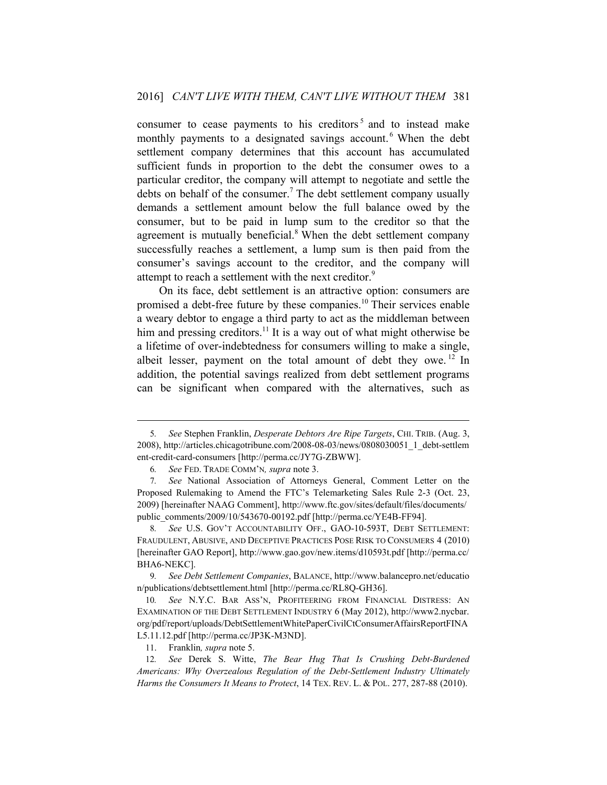consumer to cease payments to his creditors<sup>5</sup> and to instead make monthly payments to a designated savings account.<sup>6</sup> When the debt settlement company determines that this account has accumulated sufficient funds in proportion to the debt the consumer owes to a particular creditor, the company will attempt to negotiate and settle the debts on behalf of the consumer.<sup>7</sup> The debt settlement company usually demands a settlement amount below the full balance owed by the consumer, but to be paid in lump sum to the creditor so that the agreement is mutually beneficial.<sup>8</sup> When the debt settlement company successfully reaches a settlement, a lump sum is then paid from the consumer's savings account to the creditor, and the company will attempt to reach a settlement with the next creditor.<sup>9</sup>

On its face, debt settlement is an attractive option: consumers are promised a debt-free future by these companies.10 Their services enable a weary debtor to engage a third party to act as the middleman between him and pressing creditors.<sup>11</sup> It is a way out of what might otherwise be a lifetime of over-indebtedness for consumers willing to make a single, albeit lesser, payment on the total amount of debt they owe. 12 In addition, the potential savings realized from debt settlement programs can be significant when compared with the alternatives, such as

<sup>5</sup>*. See* Stephen Franklin, *Desperate Debtors Are Ripe Targets*, CHI. TRIB. (Aug. 3, 2008), http://articles.chicagotribune.com/2008-08-03/news/0808030051\_1\_debt-settlem ent-credit-card-consumers [http://perma.cc/JY7G-ZBWW].

<sup>6</sup>*. See* FED. TRADE COMM'N*, supra* note 3.

<sup>7</sup>*. See* National Association of Attorneys General, Comment Letter on the Proposed Rulemaking to Amend the FTC's Telemarketing Sales Rule 2-3 (Oct. 23, 2009) [hereinafter NAAG Comment], http://www.ftc.gov/sites/default/files/documents/ public\_comments/2009/10/543670-00192.pdf [http://perma.cc/YE4B-FF94].

<sup>8</sup>*. See* U.S. GOV'T ACCOUNTABILITY OFF., GAO-10-593T, DEBT SETTLEMENT: FRAUDULENT, ABUSIVE, AND DECEPTIVE PRACTICES POSE RISK TO CONSUMERS 4 (2010) [hereinafter GAO Report], http://www.gao.gov/new.items/d10593t.pdf [http://perma.cc/ BHA6-NEKC].

<sup>9</sup>*. See Debt Settlement Companies*, BALANCE, http://www.balancepro.net/educatio n/publications/debtsettlement.html [http://perma.cc/RL8Q-GH36].

<sup>10</sup>*. See* N.Y.C. BAR ASS'N, PROFITEERING FROM FINANCIAL DISTRESS: AN EXAMINATION OF THE DEBT SETTLEMENT INDUSTRY 6 (May 2012), http://www2.nycbar. org/pdf/report/uploads/DebtSettlementWhitePaperCivilCtConsumerAffairsReportFINA L5.11.12.pdf [http://perma.cc/JP3K-M3ND].

<sup>11.</sup> Franklin*, supra* note 5.

<sup>12</sup>*. See* Derek S. Witte, *The Bear Hug That Is Crushing Debt-Burdened Americans: Why Overzealous Regulation of the Debt-Settlement Industry Ultimately Harms the Consumers It Means to Protect*, 14 TEX. REV. L. & POL. 277, 287-88 (2010).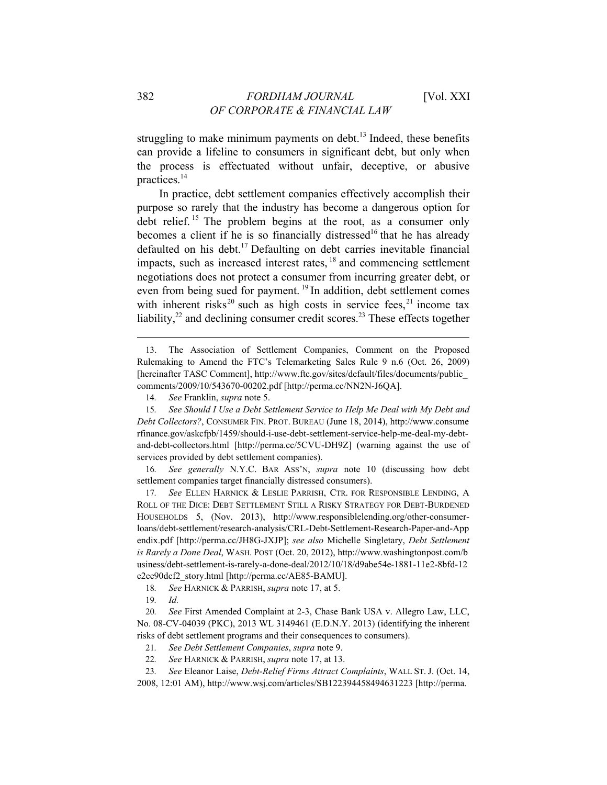struggling to make minimum payments on debt.<sup>13</sup> Indeed, these benefits can provide a lifeline to consumers in significant debt, but only when the process is effectuated without unfair, deceptive, or abusive practices.14

In practice, debt settlement companies effectively accomplish their purpose so rarely that the industry has become a dangerous option for debt relief.<sup>15</sup> The problem begins at the root, as a consumer only becomes a client if he is so financially distressed<sup>16</sup> that he has already defaulted on his debt.<sup>17</sup> Defaulting on debt carries inevitable financial impacts, such as increased interest rates, 18 and commencing settlement negotiations does not protect a consumer from incurring greater debt, or even from being sued for payment.<sup>19</sup> In addition, debt settlement comes with inherent risks<sup>20</sup> such as high costs in service fees,<sup>21</sup> income tax liability, $2<sup>2</sup>$  and declining consumer credit scores.<sup>23</sup> These effects together

16*. See generally* N.Y.C. BAR ASS'N, *supra* note 10 (discussing how debt settlement companies target financially distressed consumers).

17*. See* ELLEN HARNICK & LESLIE PARRISH, CTR. FOR RESPONSIBLE LENDING, A ROLL OF THE DICE: DEBT SETTLEMENT STILL A RISKY STRATEGY FOR DEBT-BURDENED HOUSEHOLDS 5, (Nov. 2013), http://www.responsiblelending.org/other-consumerloans/debt-settlement/research-analysis/CRL-Debt-Settlement-Research-Paper-and-App endix.pdf [http://perma.cc/JH8G-JXJP]; *see also* Michelle Singletary, *Debt Settlement is Rarely a Done Deal*, WASH. POST (Oct. 20, 2012), http://www.washingtonpost.com/b usiness/debt-settlement-is-rarely-a-done-deal/2012/10/18/d9abe54e-1881-11e2-8bfd-12 e2ee90dcf2\_story.html [http://perma.cc/AE85-BAMU].

18*. See* HARNICK & PARRISH, *supra* note 17, at 5.

19*. Id.*

20*. See* First Amended Complaint at 2-3, Chase Bank USA v. Allegro Law, LLC, No. 08-CV-04039 (PKC), 2013 WL 3149461 (E.D.N.Y. 2013) (identifying the inherent risks of debt settlement programs and their consequences to consumers).

21*. See Debt Settlement Companies*, *supra* note 9.

22*. See* HARNICK & PARRISH, *supra* note 17, at 13.

23*. See* Eleanor Laise, *Debt-Relief Firms Attract Complaints*, WALL ST. J. (Oct. 14, 2008, 12:01 AM), http://www.wsj.com/articles/SB122394458494631223 [http://perma.

<sup>13.</sup> The Association of Settlement Companies, Comment on the Proposed Rulemaking to Amend the FTC's Telemarketing Sales Rule 9 n.6 (Oct. 26, 2009) [hereinafter TASC Comment], http://www.ftc.gov/sites/default/files/documents/public\_ comments/2009/10/543670-00202.pdf [http://perma.cc/NN2N-J6QA].

<sup>14</sup>*. See* Franklin, *supra* note 5.

<sup>15</sup>*. See Should I Use a Debt Settlement Service to Help Me Deal with My Debt and Debt Collectors?*, CONSUMER FIN. PROT. BUREAU (June 18, 2014), http://www.consume rfinance.gov/askcfpb/1459/should-i-use-debt-settlement-service-help-me-deal-my-debtand-debt-collectors.html [http://perma.cc/5CVU-DH9Z] (warning against the use of services provided by debt settlement companies).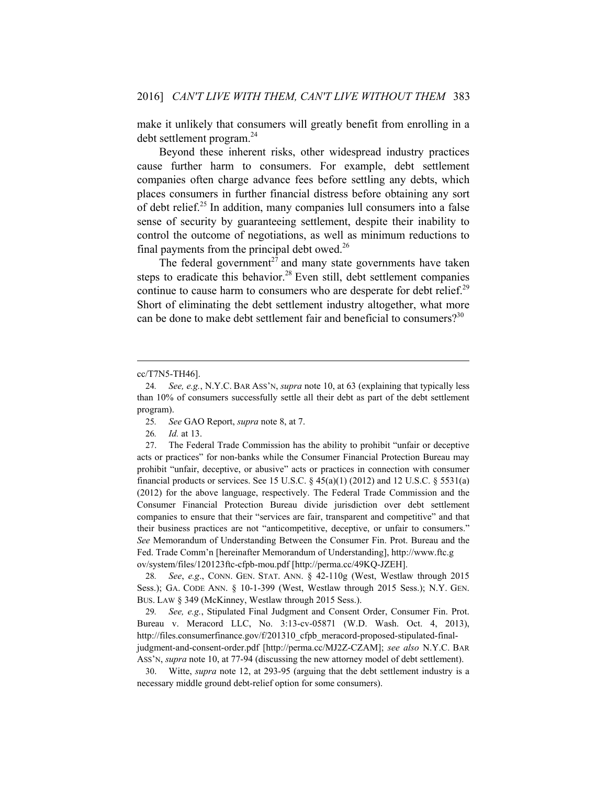make it unlikely that consumers will greatly benefit from enrolling in a debt settlement program.24

Beyond these inherent risks, other widespread industry practices cause further harm to consumers. For example, debt settlement companies often charge advance fees before settling any debts, which places consumers in further financial distress before obtaining any sort of debt relief.25 In addition, many companies lull consumers into a false sense of security by guaranteeing settlement, despite their inability to control the outcome of negotiations, as well as minimum reductions to final payments from the principal debt owed. $^{26}$ 

The federal government<sup>27</sup> and many state governments have taken steps to eradicate this behavior.<sup>28</sup> Even still, debt settlement companies continue to cause harm to consumers who are desperate for debt relief.<sup>29</sup> Short of eliminating the debt settlement industry altogether, what more can be done to make debt settlement fair and beneficial to consumers?<sup>30</sup>

 $\overline{a}$ 

29*. See, e.g.*, Stipulated Final Judgment and Consent Order, Consumer Fin. Prot. Bureau v. Meracord LLC, No. 3:13-cv-05871 (W.D. Wash. Oct. 4, 2013), http://files.consumerfinance.gov/f/201310\_cfpb\_meracord-proposed-stipulated-finaljudgment-and-consent-order.pdf [http://perma.cc/MJ2Z-CZAM]; *see also* N.Y.C. BAR ASS'N, *supra* note 10, at 77-94 (discussing the new attorney model of debt settlement).

30. Witte, *supra* note 12, at 293-95 (arguing that the debt settlement industry is a necessary middle ground debt-relief option for some consumers).

cc/T7N5-TH46].

<sup>24</sup>*. See, e.g.*, N.Y.C. BAR ASS'N, *supra* note 10, at 63 (explaining that typically less than 10% of consumers successfully settle all their debt as part of the debt settlement program).

<sup>25</sup>*. See* GAO Report, *supra* note 8, at 7.

<sup>26</sup>*. Id.* at 13.

<sup>27.</sup> The Federal Trade Commission has the ability to prohibit "unfair or deceptive acts or practices" for non-banks while the Consumer Financial Protection Bureau may prohibit "unfair, deceptive, or abusive" acts or practices in connection with consumer financial products or services. See 15 U.S.C.  $\S 45(a)(1)$  (2012) and 12 U.S.C.  $\S 5531(a)$ (2012) for the above language, respectively. The Federal Trade Commission and the Consumer Financial Protection Bureau divide jurisdiction over debt settlement companies to ensure that their "services are fair, transparent and competitive" and that their business practices are not "anticompetitive, deceptive, or unfair to consumers." *See* Memorandum of Understanding Between the Consumer Fin. Prot. Bureau and the Fed. Trade Comm'n [hereinafter Memorandum of Understanding], http://www.ftc.g ov/system/files/120123ftc-cfpb-mou.pdf [http://perma.cc/49KQ-JZEH].

<sup>28</sup>*. See*, *e.g*., CONN. GEN. STAT. ANN. § 42-110g (West, Westlaw through 2015 Sess.); GA. CODE ANN. § 10-1-399 (West, Westlaw through 2015 Sess.); N.Y. GEN. BUS. LAW § 349 (McKinney, Westlaw through 2015 Sess.).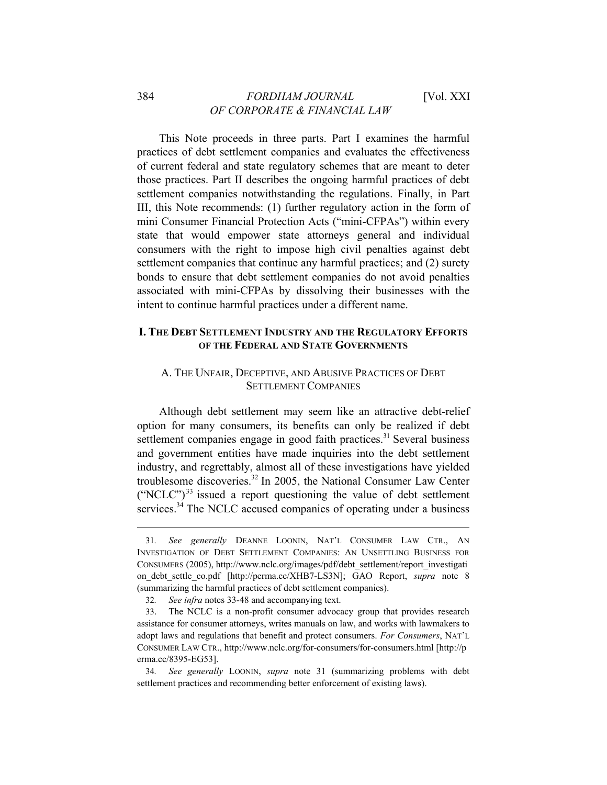This Note proceeds in three parts. Part I examines the harmful practices of debt settlement companies and evaluates the effectiveness of current federal and state regulatory schemes that are meant to deter those practices. Part II describes the ongoing harmful practices of debt settlement companies notwithstanding the regulations. Finally, in Part III, this Note recommends: (1) further regulatory action in the form of mini Consumer Financial Protection Acts ("mini-CFPAs") within every state that would empower state attorneys general and individual consumers with the right to impose high civil penalties against debt settlement companies that continue any harmful practices; and (2) surety bonds to ensure that debt settlement companies do not avoid penalties associated with mini-CFPAs by dissolving their businesses with the intent to continue harmful practices under a different name.

# **I. THE DEBT SETTLEMENT INDUSTRY AND THE REGULATORY EFFORTS OF THE FEDERAL AND STATE GOVERNMENTS**

# A. THE UNFAIR, DECEPTIVE, AND ABUSIVE PRACTICES OF DEBT SETTLEMENT COMPANIES

Although debt settlement may seem like an attractive debt-relief option for many consumers, its benefits can only be realized if debt settlement companies engage in good faith practices. $31$  Several business and government entities have made inquiries into the debt settlement industry, and regrettably, almost all of these investigations have yielded troublesome discoveries.<sup>32</sup> In 2005, the National Consumer Law Center  $("NCLC")<sup>33</sup>$  issued a report questioning the value of debt settlement services. $34$  The NCLC accused companies of operating under a business

<sup>31</sup>*. See generally* DEANNE LOONIN, NAT'L CONSUMER LAW CTR., AN INVESTIGATION OF DEBT SETTLEMENT COMPANIES: AN UNSETTLING BUSINESS FOR CONSUMERS (2005), http://www.nclc.org/images/pdf/debt\_settlement/report\_investigati on debt settle co.pdf [http://perma.cc/XHB7-LS3N]; GAO Report, *supra* note 8 (summarizing the harmful practices of debt settlement companies).

<sup>32</sup>*. See infra* notes 33-48 and accompanying text.

<sup>33.</sup> The NCLC is a non-profit consumer advocacy group that provides research assistance for consumer attorneys, writes manuals on law, and works with lawmakers to adopt laws and regulations that benefit and protect consumers. *For Consumers*, NAT'L CONSUMER LAW CTR., http://www.nclc.org/for-consumers/for-consumers.html [http://p erma.cc/8395-EG53].

<sup>34</sup>*. See generally* LOONIN, *supra* note 31 (summarizing problems with debt settlement practices and recommending better enforcement of existing laws).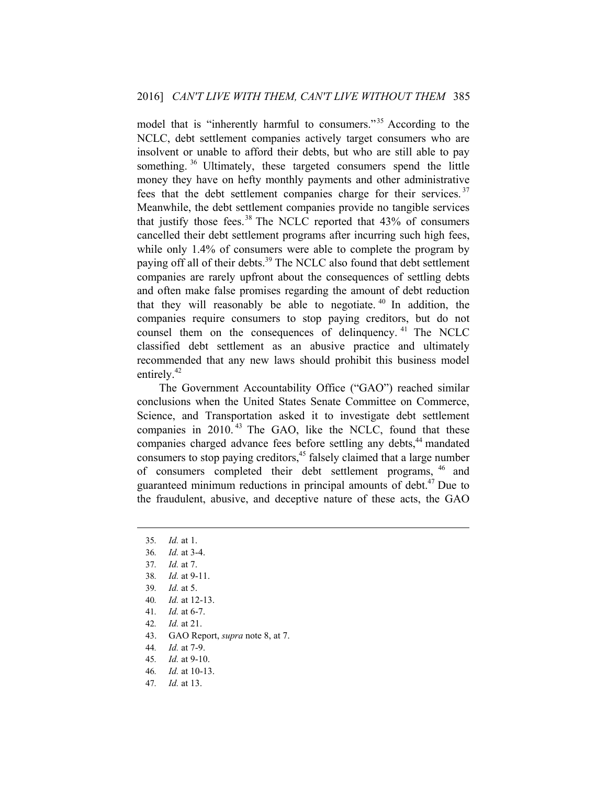model that is "inherently harmful to consumers."<sup>35</sup> According to the NCLC, debt settlement companies actively target consumers who are insolvent or unable to afford their debts, but who are still able to pay something.<sup>36</sup> Ultimately, these targeted consumers spend the little money they have on hefty monthly payments and other administrative fees that the debt settlement companies charge for their services.<sup>37</sup> Meanwhile, the debt settlement companies provide no tangible services that justify those fees. $38$  The NCLC reported that  $43\%$  of consumers cancelled their debt settlement programs after incurring such high fees, while only 1.4% of consumers were able to complete the program by paying off all of their debts.<sup>39</sup> The NCLC also found that debt settlement companies are rarely upfront about the consequences of settling debts and often make false promises regarding the amount of debt reduction that they will reasonably be able to negotiate.  $40 \text{ In addition, the}$ companies require consumers to stop paying creditors, but do not counsel them on the consequences of delinquency.  $41$  The NCLC classified debt settlement as an abusive practice and ultimately recommended that any new laws should prohibit this business model entirely.<sup>42</sup>

The Government Accountability Office ("GAO") reached similar conclusions when the United States Senate Committee on Commerce, Science, and Transportation asked it to investigate debt settlement companies in 2010.<sup>43</sup> The GAO, like the NCLC, found that these companies charged advance fees before settling any debts,<sup>44</sup> mandated consumers to stop paying creditors,  $45$  falsely claimed that a large number of consumers completed their debt settlement programs, 46 and guaranteed minimum reductions in principal amounts of debt.<sup>47</sup> Due to the fraudulent, abusive, and deceptive nature of these acts, the GAO

 $\overline{a}$ 

42*. Id.* at 21.

- 44*. Id.* at 7-9.
- 45*. Id.* at 9-10.
- 46*. Id.* at 10-13.
- 47*. Id.* at 13.

<sup>35</sup>*. Id.* at 1.

<sup>36</sup>*. Id.* at 3-4.

<sup>37</sup>*. Id.* at 7.

<sup>38</sup>*. Id.* at 9-11.

<sup>39</sup>*. Id.* at 5.

<sup>40</sup>*. Id.* at 12-13.

<sup>41</sup>*. Id.* at 6-7.

<sup>43.</sup> GAO Report, *supra* note 8, at 7.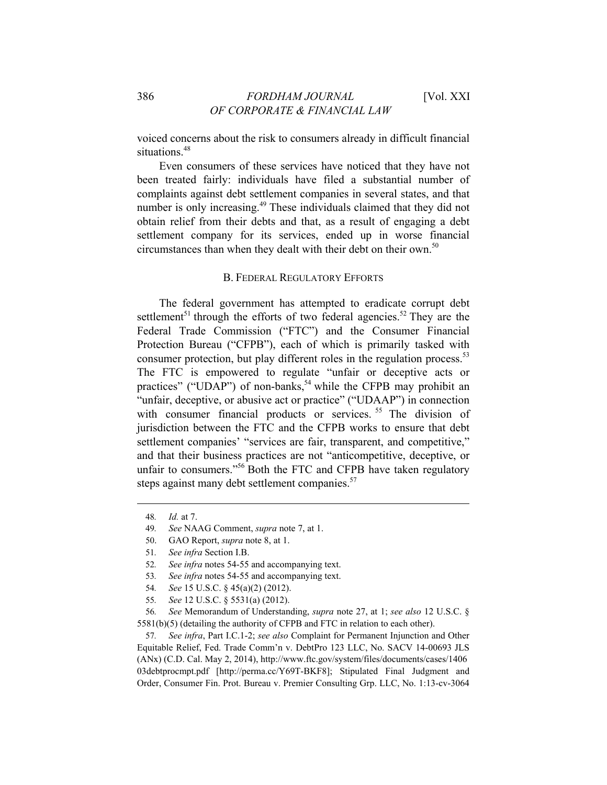voiced concerns about the risk to consumers already in difficult financial situations.<sup>48</sup>

Even consumers of these services have noticed that they have not been treated fairly: individuals have filed a substantial number of complaints against debt settlement companies in several states, and that number is only increasing.<sup>49</sup> These individuals claimed that they did not obtain relief from their debts and that, as a result of engaging a debt settlement company for its services, ended up in worse financial circumstances than when they dealt with their debt on their own.<sup>50</sup>

#### B. FEDERAL REGULATORY EFFORTS

The federal government has attempted to eradicate corrupt debt settlement<sup>51</sup> through the efforts of two federal agencies.<sup>52</sup> They are the Federal Trade Commission ("FTC") and the Consumer Financial Protection Bureau ("CFPB"), each of which is primarily tasked with consumer protection, but play different roles in the regulation process.<sup>53</sup> The FTC is empowered to regulate "unfair or deceptive acts or practices" ("UDAP") of non-banks,<sup>54</sup> while the CFPB may prohibit an "unfair, deceptive, or abusive act or practice" ("UDAAP") in connection with consumer financial products or services.<sup>55</sup> The division of jurisdiction between the FTC and the CFPB works to ensure that debt settlement companies' "services are fair, transparent, and competitive," and that their business practices are not "anticompetitive, deceptive, or unfair to consumers."<sup>56</sup> Both the FTC and CFPB have taken regulatory steps against many debt settlement companies.<sup>57</sup>

 $\overline{a}$ 

50. GAO Report, *supra* note 8, at 1.

57*. See infra*, Part I.C.1-2; *see also* Complaint for Permanent Injunction and Other Equitable Relief, Fed. Trade Comm'n v. DebtPro 123 LLC, No. SACV 14-00693 JLS (ANx) (C.D. Cal. May 2, 2014), http://www.ftc.gov/system/files/documents/cases/1406 03debtprocmpt.pdf [http://perma.cc/Y69T-BKF8]; Stipulated Final Judgment and Order, Consumer Fin. Prot. Bureau v. Premier Consulting Grp. LLC, No. 1:13-cv-3064

<sup>48</sup>*. Id.* at 7.

<sup>49</sup>*. See* NAAG Comment, *supra* note 7, at 1.

<sup>51</sup>*. See infra* Section I.B.

<sup>52</sup>*. See infra* notes 54-55 and accompanying text.

<sup>53</sup>*. See infra* notes 54-55 and accompanying text.

<sup>54</sup>*. See* 15 U.S.C. § 45(a)(2) (2012).

<sup>55</sup>*. See* 12 U.S.C. § 5531(a) (2012).

<sup>56</sup>*. See* Memorandum of Understanding, *supra* note 27, at 1; *see also* 12 U.S.C. § 5581(b)(5) (detailing the authority of CFPB and FTC in relation to each other).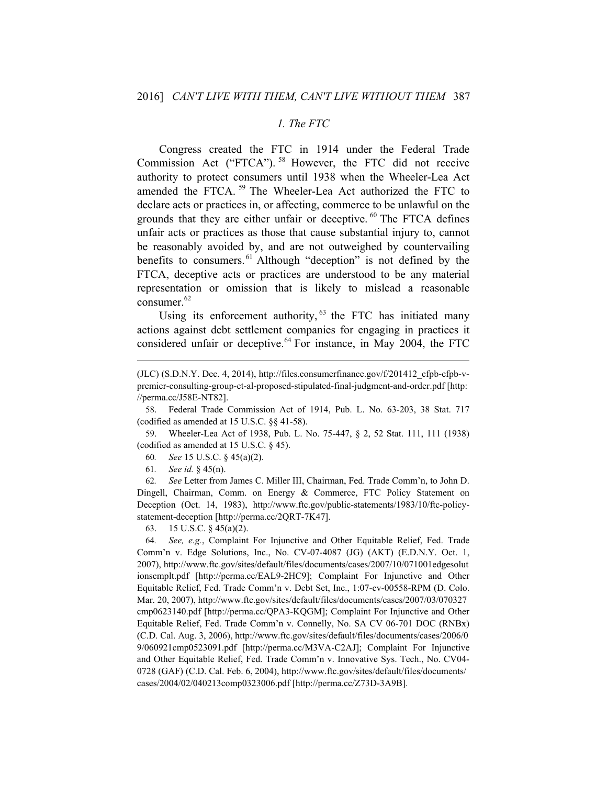#### *1. The FTC*

Congress created the FTC in 1914 under the Federal Trade Commission Act ("FTCA"). 58 However, the FTC did not receive authority to protect consumers until 1938 when the Wheeler-Lea Act amended the FTCA. 59 The Wheeler-Lea Act authorized the FTC to declare acts or practices in, or affecting, commerce to be unlawful on the grounds that they are either unfair or deceptive. 60 The FTCA defines unfair acts or practices as those that cause substantial injury to, cannot be reasonably avoided by, and are not outweighed by countervailing benefits to consumers. 61 Although "deception" is not defined by the FTCA, deceptive acts or practices are understood to be any material representation or omission that is likely to mislead a reasonable consumer.<sup>62</sup>

Using its enforcement authority, <sup>63</sup> the FTC has initiated many actions against debt settlement companies for engaging in practices it considered unfair or deceptive. $64$  For instance, in May 2004, the FTC

58. Federal Trade Commission Act of 1914, Pub. L. No. 63-203, 38 Stat. 717 (codified as amended at 15 U.S.C. §§ 41-58).

59. Wheeler-Lea Act of 1938, Pub. L. No. 75-447, § 2, 52 Stat. 111, 111 (1938) (codified as amended at 15 U.S.C. § 45).

60*. See* 15 U.S.C. § 45(a)(2).

61*. See id.* § 45(n).

 $\overline{a}$ 

62*. See* Letter from James C. Miller III, Chairman, Fed. Trade Comm'n, to John D. Dingell, Chairman, Comm. on Energy & Commerce, FTC Policy Statement on Deception (Oct. 14, 1983), http://www.ftc.gov/public-statements/1983/10/ftc-policystatement-deception [http://perma.cc/2QRT-7K47].

63. 15 U.S.C. § 45(a)(2).

64*. See, e.g.*, Complaint For Injunctive and Other Equitable Relief, Fed. Trade Comm'n v. Edge Solutions, Inc., No. CV-07-4087 (JG) (AKT) (E.D.N.Y. Oct. 1, 2007), http://www.ftc.gov/sites/default/files/documents/cases/2007/10/071001edgesolut ionscmplt.pdf [http://perma.cc/EAL9-2HC9]; Complaint For Injunctive and Other Equitable Relief, Fed. Trade Comm'n v. Debt Set, Inc., 1:07-cv-00558-RPM (D. Colo. Mar. 20, 2007), http://www.ftc.gov/sites/default/files/documents/cases/2007/03/070327 cmp0623140.pdf [http://perma.cc/QPA3-KQGM]; Complaint For Injunctive and Other Equitable Relief, Fed. Trade Comm'n v. Connelly, No. SA CV 06-701 DOC (RNBx) (C.D. Cal. Aug. 3, 2006), http://www.ftc.gov/sites/default/files/documents/cases/2006/0 9/060921cmp0523091.pdf [http://perma.cc/M3VA-C2AJ]; Complaint For Injunctive and Other Equitable Relief, Fed. Trade Comm'n v. Innovative Sys. Tech., No. CV04- 0728 (GAF) (C.D. Cal. Feb. 6, 2004), http://www.ftc.gov/sites/default/files/documents/ cases/2004/02/040213comp0323006.pdf [http://perma.cc/Z73D-3A9B].

<sup>(</sup>JLC) (S.D.N.Y. Dec. 4, 2014), http://files.consumerfinance.gov/ $f/201412$  cfpb-cfpb-vpremier-consulting-group-et-al-proposed-stipulated-final-judgment-and-order.pdf [http: //perma.cc/J58E-NT82].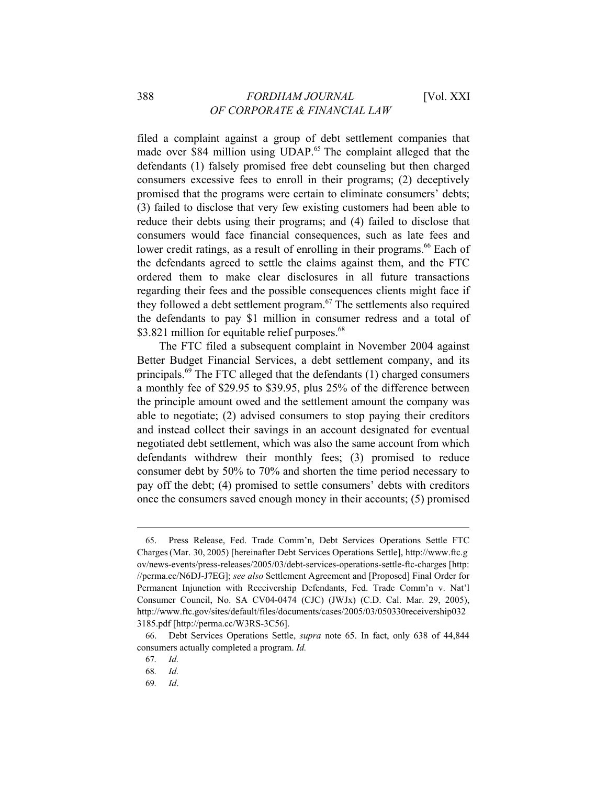filed a complaint against a group of debt settlement companies that made over \$84 million using UDAP.<sup>65</sup> The complaint alleged that the defendants (1) falsely promised free debt counseling but then charged consumers excessive fees to enroll in their programs; (2) deceptively promised that the programs were certain to eliminate consumers' debts; (3) failed to disclose that very few existing customers had been able to reduce their debts using their programs; and (4) failed to disclose that consumers would face financial consequences, such as late fees and lower credit ratings, as a result of enrolling in their programs.<sup>66</sup> Each of the defendants agreed to settle the claims against them, and the FTC ordered them to make clear disclosures in all future transactions regarding their fees and the possible consequences clients might face if they followed a debt settlement program.67 The settlements also required the defendants to pay \$1 million in consumer redress and a total of \$3.821 million for equitable relief purposes.<sup>68</sup>

The FTC filed a subsequent complaint in November 2004 against Better Budget Financial Services, a debt settlement company, and its principals.69 The FTC alleged that the defendants (1) charged consumers a monthly fee of \$29.95 to \$39.95, plus 25% of the difference between the principle amount owed and the settlement amount the company was able to negotiate; (2) advised consumers to stop paying their creditors and instead collect their savings in an account designated for eventual negotiated debt settlement, which was also the same account from which defendants withdrew their monthly fees; (3) promised to reduce consumer debt by 50% to 70% and shorten the time period necessary to pay off the debt; (4) promised to settle consumers' debts with creditors once the consumers saved enough money in their accounts; (5) promised

<sup>65.</sup> Press Release, Fed. Trade Comm'n, Debt Services Operations Settle FTC Charges(Mar. 30, 2005) [hereinafter Debt Services Operations Settle], http://www.ftc.g ov/news-events/press-releases/2005/03/debt-services-operations-settle-ftc-charges [http: //perma.cc/N6DJ-J7EG]; *see also* Settlement Agreement and [Proposed] Final Order for Permanent Injunction with Receivership Defendants, Fed. Trade Comm'n v. Nat'l Consumer Council, No. SA CV04-0474 (CJC) (JWJx) (C.D. Cal. Mar. 29, 2005), http://www.ftc.gov/sites/default/files/documents/cases/2005/03/050330receivership032 3185.pdf [http://perma.cc/W3RS-3C56].

<sup>66.</sup> Debt Services Operations Settle, *supra* note 65. In fact, only 638 of 44,844 consumers actually completed a program. *Id.*

<sup>67</sup>*. Id.*

<sup>68</sup>*. Id.* 

<sup>69</sup>*. Id*.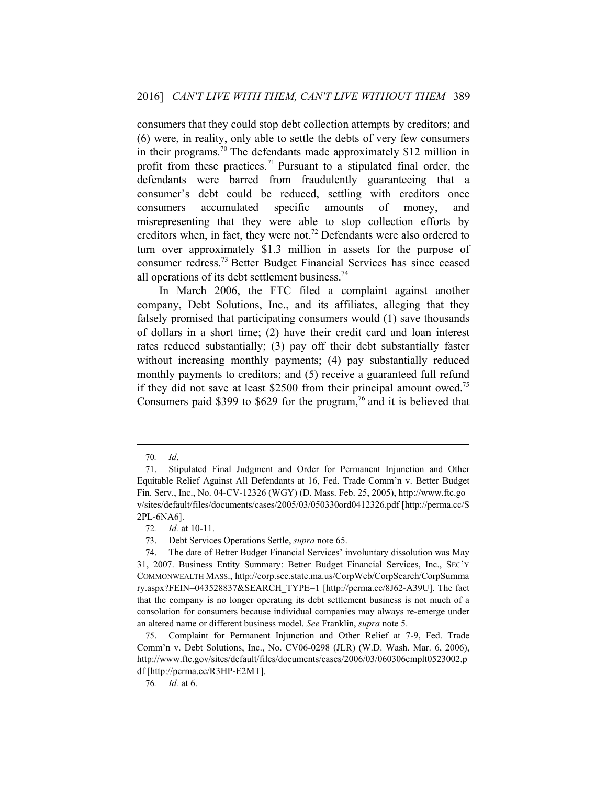consumers that they could stop debt collection attempts by creditors; and (6) were, in reality, only able to settle the debts of very few consumers in their programs.70 The defendants made approximately \$12 million in profit from these practices.<sup>71</sup> Pursuant to a stipulated final order, the defendants were barred from fraudulently guaranteeing that a consumer's debt could be reduced, settling with creditors once consumers accumulated specific amounts of money, and misrepresenting that they were able to stop collection efforts by creditors when, in fact, they were not.72 Defendants were also ordered to turn over approximately \$1.3 million in assets for the purpose of consumer redress.73 Better Budget Financial Services has since ceased all operations of its debt settlement business.<sup>74</sup>

In March 2006, the FTC filed a complaint against another company, Debt Solutions, Inc., and its affiliates, alleging that they falsely promised that participating consumers would (1) save thousands of dollars in a short time; (2) have their credit card and loan interest rates reduced substantially; (3) pay off their debt substantially faster without increasing monthly payments; (4) pay substantially reduced monthly payments to creditors; and (5) receive a guaranteed full refund if they did not save at least \$2500 from their principal amount owed.<sup>75</sup> Consumers paid \$399 to \$629 for the program,<sup>76</sup> and it is believed that

<sup>70</sup>*. Id*.

<sup>71.</sup> Stipulated Final Judgment and Order for Permanent Injunction and Other Equitable Relief Against All Defendants at 16, Fed. Trade Comm'n v. Better Budget Fin. Serv., Inc., No. 04-CV-12326 (WGY) (D. Mass. Feb. 25, 2005), http://www.ftc.go v/sites/default/files/documents/cases/2005/03/050330ord0412326.pdf [http://perma.cc/S 2PL-6NA6].

<sup>72</sup>*. Id.* at 10-11.

<sup>73.</sup> Debt Services Operations Settle, *supra* note 65.

<sup>74.</sup> The date of Better Budget Financial Services' involuntary dissolution was May 31, 2007. Business Entity Summary: Better Budget Financial Services, Inc., SEC'Y COMMONWEALTH MASS., http://corp.sec.state.ma.us/CorpWeb/CorpSearch/CorpSumma ry.aspx?FEIN=043528837&SEARCH\_TYPE=1 [http://perma.cc/8J62-A39U]. The fact that the company is no longer operating its debt settlement business is not much of a consolation for consumers because individual companies may always re-emerge under an altered name or different business model. *See* Franklin, *supra* note 5.

<sup>75.</sup> Complaint for Permanent Injunction and Other Relief at 7-9, Fed. Trade Comm'n v. Debt Solutions, Inc., No. CV06-0298 (JLR) (W.D. Wash. Mar. 6, 2006), http://www.ftc.gov/sites/default/files/documents/cases/2006/03/060306cmplt0523002.p df [http://perma.cc/R3HP-E2MT].

<sup>76</sup>*. Id.* at 6.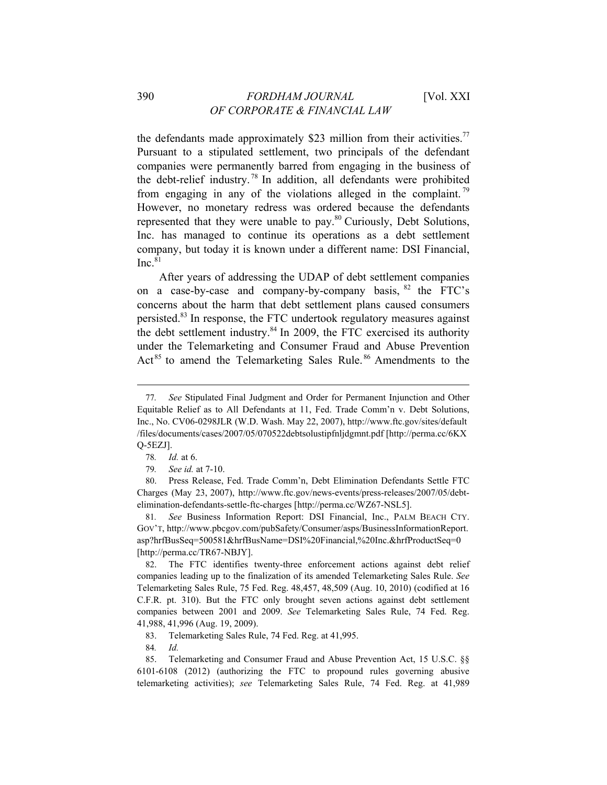the defendants made approximately \$23 million from their activities.<sup>77</sup> Pursuant to a stipulated settlement, two principals of the defendant companies were permanently barred from engaging in the business of the debt-relief industry. 78 In addition, all defendants were prohibited from engaging in any of the violations alleged in the complaint.<sup>79</sup> However, no monetary redress was ordered because the defendants represented that they were unable to pay.<sup>80</sup> Curiously, Debt Solutions, Inc. has managed to continue its operations as a debt settlement company, but today it is known under a different name: DSI Financial,  $Inc.<sup>81</sup>$ 

After years of addressing the UDAP of debt settlement companies on a case-by-case and company-by-company basis,  $82$  the FTC's concerns about the harm that debt settlement plans caused consumers persisted.83 In response, the FTC undertook regulatory measures against the debt settlement industry. $84$  In 2009, the FTC exercised its authority under the Telemarketing and Consumer Fraud and Abuse Prevention Act<sup>85</sup> to amend the Telemarketing Sales Rule.<sup>86</sup> Amendments to the

 $\overline{a}$ 

83. Telemarketing Sales Rule, 74 Fed. Reg. at 41,995.

84*. Id.*

85. Telemarketing and Consumer Fraud and Abuse Prevention Act, 15 U.S.C. §§ 6101-6108 (2012) (authorizing the FTC to propound rules governing abusive telemarketing activities); *see* Telemarketing Sales Rule, 74 Fed. Reg. at 41,989

<sup>77</sup>*. See* Stipulated Final Judgment and Order for Permanent Injunction and Other Equitable Relief as to All Defendants at 11, Fed. Trade Comm'n v. Debt Solutions, Inc., No. CV06-0298JLR (W.D. Wash. May 22, 2007), http://www.ftc.gov/sites/default /files/documents/cases/2007/05/070522debtsolustipfnljdgmnt.pdf [http://perma.cc/6KX Q-5EZJ].

<sup>78</sup>*. Id.* at 6.

<sup>79</sup>*. See id.* at 7-10.

<sup>80.</sup> Press Release, Fed. Trade Comm'n, Debt Elimination Defendants Settle FTC Charges (May 23, 2007), http://www.ftc.gov/news-events/press-releases/2007/05/debtelimination-defendants-settle-ftc-charges [http://perma.cc/WZ67-NSL5].

<sup>81</sup>*. See* Business Information Report: DSI Financial, Inc., PALM BEACH CTY. GOV'T, http://www.pbcgov.com/pubSafety/Consumer/asps/BusinessInformationReport. asp?hrfBusSeq=500581&hrfBusName=DSI%20Financial,%20Inc.&hrfProductSeq=0 [http://perma.cc/TR67-NBJY].

<sup>82.</sup> The FTC identifies twenty-three enforcement actions against debt relief companies leading up to the finalization of its amended Telemarketing Sales Rule. *See*  Telemarketing Sales Rule, 75 Fed. Reg. 48,457, 48,509 (Aug. 10, 2010) (codified at 16 C.F.R. pt. 310). But the FTC only brought seven actions against debt settlement companies between 2001 and 2009. *See* Telemarketing Sales Rule, 74 Fed. Reg. 41,988, 41,996 (Aug. 19, 2009).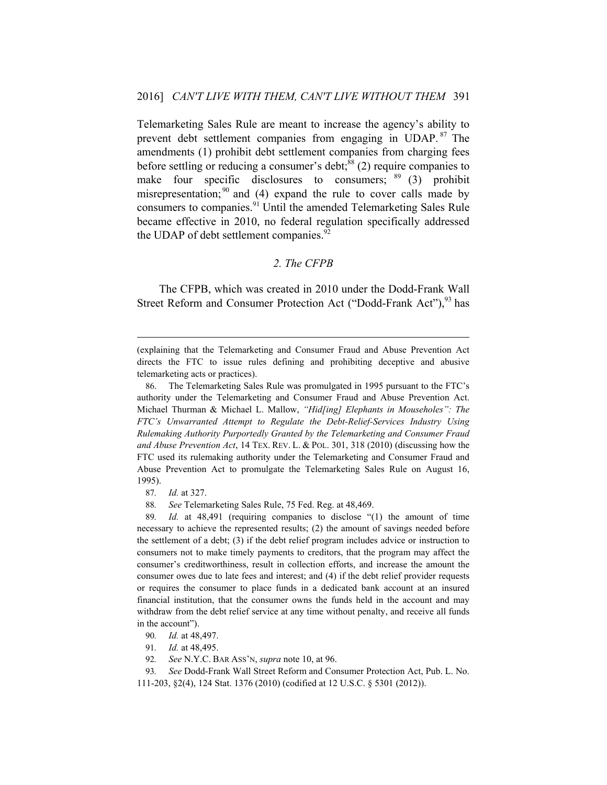Telemarketing Sales Rule are meant to increase the agency's ability to prevent debt settlement companies from engaging in UDAP. 87 The amendments (1) prohibit debt settlement companies from charging fees before settling or reducing a consumer's debt;<sup>88</sup> (2) require companies to make four specific disclosures to consumers;  $89(3)$  prohibit misrepresentation;  $90$  and (4) expand the rule to cover calls made by consumers to companies.<sup>91</sup> Until the amended Telemarketing Sales Rule became effective in 2010, no federal regulation specifically addressed the UDAP of debt settlement companies. $92$ 

## *2. The CFPB*

The CFPB, which was created in 2010 under the Dodd-Frank Wall Street Reform and Consumer Protection Act ("Dodd-Frank Act"),<sup>93</sup> has

87*. Id.* at 327.

 $\overline{a}$ 

88*. See* Telemarketing Sales Rule, 75 Fed. Reg. at 48,469.

89*. Id.* at 48,491 (requiring companies to disclose "(1) the amount of time necessary to achieve the represented results; (2) the amount of savings needed before the settlement of a debt; (3) if the debt relief program includes advice or instruction to consumers not to make timely payments to creditors, that the program may affect the consumer's creditworthiness, result in collection efforts, and increase the amount the consumer owes due to late fees and interest; and (4) if the debt relief provider requests or requires the consumer to place funds in a dedicated bank account at an insured financial institution, that the consumer owns the funds held in the account and may withdraw from the debt relief service at any time without penalty, and receive all funds in the account").

- 90*. Id.* at 48,497.
- 91*. Id.* at 48,495.
- 92*. See* N.Y.C. BAR ASS'N, *supra* note 10, at 96.

93*. See* Dodd-Frank Wall Street Reform and Consumer Protection Act, Pub. L. No. 111-203, §2(4), 124 Stat. 1376 (2010) (codified at 12 U.S.C. § 5301 (2012)).

<sup>(</sup>explaining that the Telemarketing and Consumer Fraud and Abuse Prevention Act directs the FTC to issue rules defining and prohibiting deceptive and abusive telemarketing acts or practices).

<sup>86.</sup> The Telemarketing Sales Rule was promulgated in 1995 pursuant to the FTC's authority under the Telemarketing and Consumer Fraud and Abuse Prevention Act. Michael Thurman & Michael L. Mallow, *"Hid[ing] Elephants in Mouseholes": The FTC's Unwarranted Attempt to Regulate the Debt-Relief-Services Industry Using Rulemaking Authority Purportedly Granted by the Telemarketing and Consumer Fraud and Abuse Prevention Act*, 14 TEX. REV. L. & POL. 301, 318 (2010) (discussing how the FTC used its rulemaking authority under the Telemarketing and Consumer Fraud and Abuse Prevention Act to promulgate the Telemarketing Sales Rule on August 16, 1995).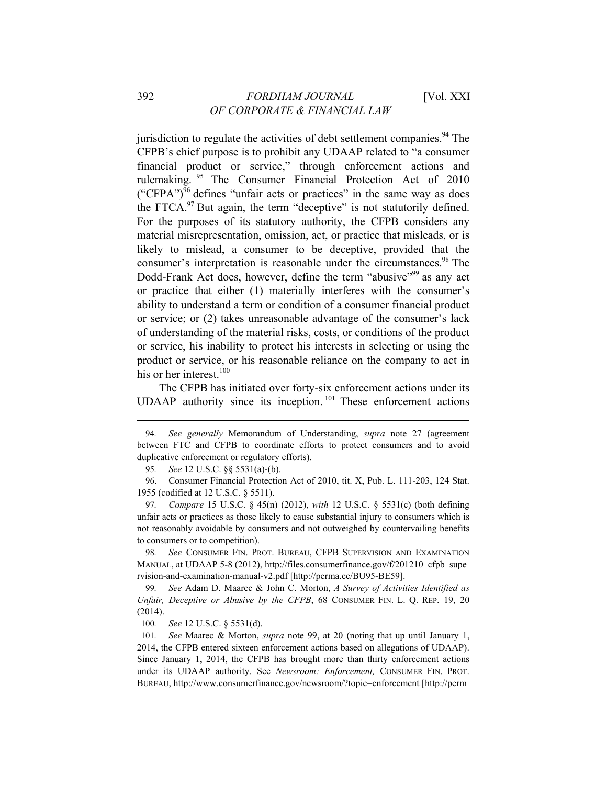jurisdiction to regulate the activities of debt settlement companies.<sup>94</sup> The CFPB's chief purpose is to prohibit any UDAAP related to "a consumer financial product or service," through enforcement actions and rulemaking. 95 The Consumer Financial Protection Act of 2010  $({\rm "CFPA'})^{96}$  defines "unfair acts or practices" in the same way as does the FTCA. $97$  But again, the term "deceptive" is not statutorily defined. For the purposes of its statutory authority, the CFPB considers any material misrepresentation, omission, act, or practice that misleads, or is likely to mislead, a consumer to be deceptive, provided that the consumer's interpretation is reasonable under the circumstances.<sup>98</sup> The Dodd-Frank Act does, however, define the term "abusive"<sup>99</sup> as any act or practice that either (1) materially interferes with the consumer's ability to understand a term or condition of a consumer financial product or service; or (2) takes unreasonable advantage of the consumer's lack of understanding of the material risks, costs, or conditions of the product or service, his inability to protect his interests in selecting or using the product or service, or his reasonable reliance on the company to act in his or her interest. $100$ 

The CFPB has initiated over forty-six enforcement actions under its UDAAP authority since its inception.<sup>101</sup> These enforcement actions

96. Consumer Financial Protection Act of 2010, tit. X, Pub. L. 111-203, 124 Stat. 1955 (codified at 12 U.S.C. § 5511).

98*. See* CONSUMER FIN. PROT. BUREAU, CFPB SUPERVISION AND EXAMINATION MANUAL, at UDAAP 5-8 (2012), http://files.consumerfinance.gov/f/201210\_cfpb\_supe rvision-and-examination-manual-v2.pdf [http://perma.cc/BU95-BE59].

99*. See* Adam D. Maarec & John C. Morton, *A Survey of Activities Identified as Unfair, Deceptive or Abusive by the CFPB*, 68 CONSUMER FIN. L. Q. REP. 19, 20 (2014).

100*. See* 12 U.S.C. § 5531(d).

<sup>94</sup>*. See generally* Memorandum of Understanding, *supra* note 27 (agreement between FTC and CFPB to coordinate efforts to protect consumers and to avoid duplicative enforcement or regulatory efforts).

<sup>95</sup>*. See* 12 U.S.C. §§ 5531(a)-(b).

<sup>97</sup>*. Compare* 15 U.S.C. § 45(n) (2012), *with* 12 U.S.C. § 5531(c) (both defining unfair acts or practices as those likely to cause substantial injury to consumers which is not reasonably avoidable by consumers and not outweighed by countervailing benefits to consumers or to competition).

<sup>101</sup>*. See* Maarec & Morton, *supra* note 99, at 20 (noting that up until January 1, 2014, the CFPB entered sixteen enforcement actions based on allegations of UDAAP). Since January 1, 2014, the CFPB has brought more than thirty enforcement actions under its UDAAP authority. See *Newsroom: Enforcement,* CONSUMER FIN. PROT. BUREAU, http://www.consumerfinance.gov/newsroom/?topic=enforcement [http://perm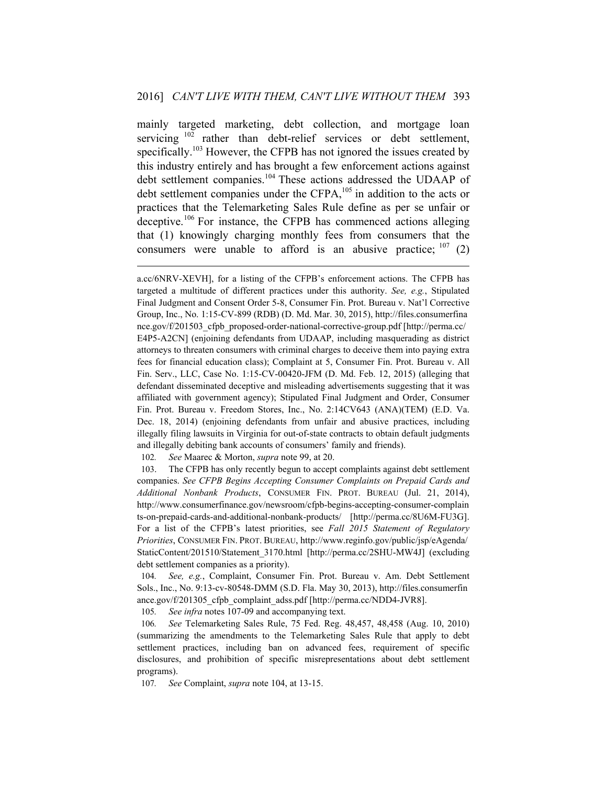mainly targeted marketing, debt collection, and mortgage loan servicing <sup>102</sup> rather than debt-relief services or debt settlement, specifically.<sup>103</sup> However, the CFPB has not ignored the issues created by this industry entirely and has brought a few enforcement actions against debt settlement companies.<sup>104</sup> These actions addressed the UDAAP of debt settlement companies under the CFPA,<sup>105</sup> in addition to the acts or practices that the Telemarketing Sales Rule define as per se unfair or deceptive.106 For instance, the CFPB has commenced actions alleging that (1) knowingly charging monthly fees from consumers that the consumers were unable to afford is an abusive practice;  $107$  (2)

102*. See* Maarec & Morton, *supra* note 99, at 20.

 $\overline{a}$ 

103. The CFPB has only recently begun to accept complaints against debt settlement companies. *See CFPB Begins Accepting Consumer Complaints on Prepaid Cards and Additional Nonbank Products*, CONSUMER FIN. PROT. BUREAU (Jul. 21, 2014), http://www.consumerfinance.gov/newsroom/cfpb-begins-accepting-consumer-complain ts-on-prepaid-cards-and-additional-nonbank-products/ [http://perma.cc/8U6M-FU3G]. For a list of the CFPB's latest priorities, see *Fall 2015 Statement of Regulatory Priorities*, CONSUMER FIN. PROT. BUREAU, http://www.reginfo.gov/public/jsp/eAgenda/ StaticContent/201510/Statement\_3170.html [http://perma.cc/2SHU-MW4J] (excluding debt settlement companies as a priority).

104*. See, e.g.*, Complaint, Consumer Fin. Prot. Bureau v. Am. Debt Settlement Sols., Inc., No. 9:13-cv-80548-DMM (S.D. Fla. May 30, 2013), http://files.consumerfin ance.gov/f/201305\_cfpb\_complaint\_adss.pdf [http://perma.cc/NDD4-JVR8].

105*. See infra* notes 107-09 and accompanying text.

106*. See* Telemarketing Sales Rule, 75 Fed. Reg. 48,457, 48,458 (Aug. 10, 2010) (summarizing the amendments to the Telemarketing Sales Rule that apply to debt settlement practices, including ban on advanced fees, requirement of specific disclosures, and prohibition of specific misrepresentations about debt settlement programs).

107*. See* Complaint, *supra* note 104, at 13-15.

a.cc/6NRV-XEVH], for a listing of the CFPB's enforcement actions. The CFPB has targeted a multitude of different practices under this authority. *See, e.g.*, Stipulated Final Judgment and Consent Order 5-8, Consumer Fin. Prot. Bureau v. Nat'l Corrective Group, Inc., No. 1:15-CV-899 (RDB) (D. Md. Mar. 30, 2015), http://files.consumerfina nce.gov/f/201503\_cfpb\_proposed-order-national-corrective-group.pdf [http://perma.cc/ E4P5-A2CN] (enjoining defendants from UDAAP, including masquerading as district attorneys to threaten consumers with criminal charges to deceive them into paying extra fees for financial education class); Complaint at 5, Consumer Fin. Prot. Bureau v. All Fin. Serv., LLC, Case No. 1:15-CV-00420-JFM (D. Md. Feb. 12, 2015) (alleging that defendant disseminated deceptive and misleading advertisements suggesting that it was affiliated with government agency); Stipulated Final Judgment and Order, Consumer Fin. Prot. Bureau v. Freedom Stores, Inc., No. 2:14CV643 (ANA)(TEM) (E.D. Va. Dec. 18, 2014) (enjoining defendants from unfair and abusive practices, including illegally filing lawsuits in Virginia for out-of-state contracts to obtain default judgments and illegally debiting bank accounts of consumers' family and friends).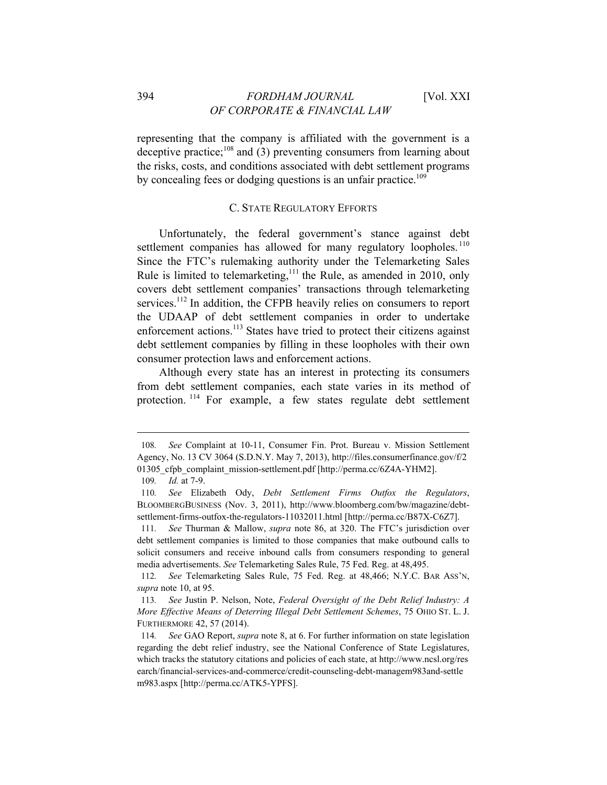representing that the company is affiliated with the government is a deceptive practice; $^{108}$  and (3) preventing consumers from learning about the risks, costs, and conditions associated with debt settlement programs by concealing fees or dodging questions is an unfair practice.<sup>109</sup>

#### C. STATE REGULATORY EFFORTS

Unfortunately, the federal government's stance against debt settlement companies has allowed for many regulatory loopholes.<sup>110</sup> Since the FTC's rulemaking authority under the Telemarketing Sales Rule is limited to telemarketing,<sup>111</sup> the Rule, as amended in 2010, only covers debt settlement companies' transactions through telemarketing services.<sup>112</sup> In addition, the CFPB heavily relies on consumers to report the UDAAP of debt settlement companies in order to undertake enforcement actions.<sup>113</sup> States have tried to protect their citizens against debt settlement companies by filling in these loopholes with their own consumer protection laws and enforcement actions.

Although every state has an interest in protecting its consumers from debt settlement companies, each state varies in its method of protection. 114 For example, a few states regulate debt settlement

<sup>108</sup>*. See* Complaint at 10-11, Consumer Fin. Prot. Bureau v. Mission Settlement Agency, No. 13 CV 3064 (S.D.N.Y. May 7, 2013), http://files.consumerfinance.gov/f/2 01305 cfpb complaint mission-settlement.pdf [http://perma.cc/6Z4A-YHM2].

<sup>109</sup>*. Id.* at 7-9.

<sup>110</sup>*. See* Elizabeth Ody, *Debt Settlement Firms Outfox the Regulators*, BLOOMBERGBUSINESS (Nov. 3, 2011), http://www.bloomberg.com/bw/magazine/debtsettlement-firms-outfox-the-regulators-11032011.html [http://perma.cc/B87X-C6Z7].

<sup>111</sup>*. See* Thurman & Mallow, *supra* note 86, at 320. The FTC's jurisdiction over debt settlement companies is limited to those companies that make outbound calls to solicit consumers and receive inbound calls from consumers responding to general media advertisements. *See* Telemarketing Sales Rule, 75 Fed. Reg. at 48,495.

<sup>112</sup>*. See* Telemarketing Sales Rule, 75 Fed. Reg. at 48,466; N.Y.C. BAR ASS'N, *supra* note 10, at 95.

<sup>113</sup>*. See* Justin P. Nelson, Note, *Federal Oversight of the Debt Relief Industry: A More Effective Means of Deterring Illegal Debt Settlement Schemes*, 75 OHIO ST. L. J. FURTHERMORE 42, 57 (2014).

<sup>114</sup>*. See* GAO Report, *supra* note 8, at 6. For further information on state legislation regarding the debt relief industry, see the National Conference of State Legislatures, which tracks the statutory citations and policies of each state, at http://www.ncsl.org/res earch/financial-services-and-commerce/credit-counseling-debt-managem983and-settle m983.aspx [http://perma.cc/ATK5-YPFS].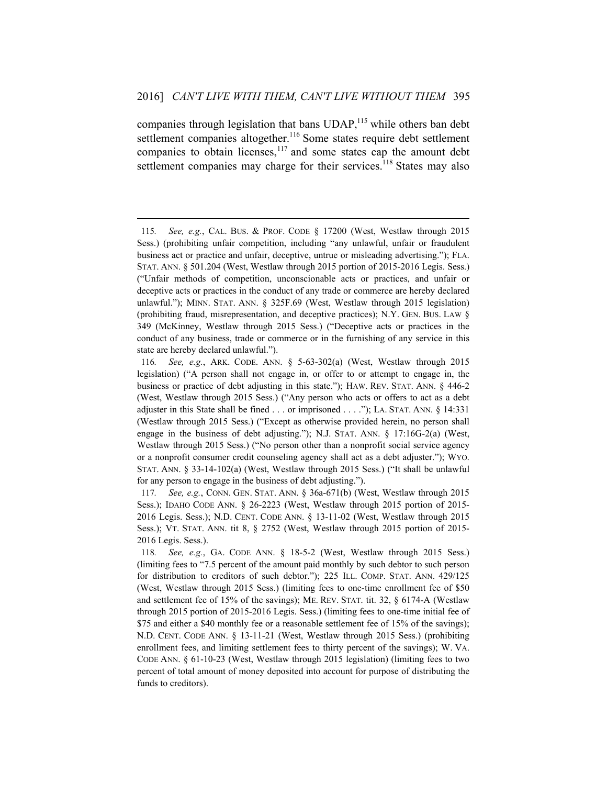companies through legislation that bans UDAP,<sup>115</sup> while others ban debt settlement companies altogether.<sup>116</sup> Some states require debt settlement companies to obtain licenses, $117$  and some states cap the amount debt settlement companies may charge for their services.<sup>118</sup> States may also

<sup>115</sup>*. See, e.g.*, CAL. BUS. & PROF. CODE § 17200 (West, Westlaw through 2015 Sess.) (prohibiting unfair competition, including "any unlawful, unfair or fraudulent business act or practice and unfair, deceptive, untrue or misleading advertising."); FLA. STAT. ANN. § 501.204 (West, Westlaw through 2015 portion of 2015-2016 Legis. Sess.) ("Unfair methods of competition, unconscionable acts or practices, and unfair or deceptive acts or practices in the conduct of any trade or commerce are hereby declared unlawful."); MINN. STAT. ANN. § 325F.69 (West, Westlaw through 2015 legislation) (prohibiting fraud, misrepresentation, and deceptive practices); N.Y. GEN. BUS. LAW § 349 (McKinney, Westlaw through 2015 Sess.) ("Deceptive acts or practices in the conduct of any business, trade or commerce or in the furnishing of any service in this state are hereby declared unlawful.").

<sup>116</sup>*. See, e.g.*, ARK. CODE. ANN. § 5-63-302(a) (West, Westlaw through 2015 legislation) ("A person shall not engage in, or offer to or attempt to engage in, the business or practice of debt adjusting in this state."); HAW. REV. STAT. ANN. § 446-2 (West, Westlaw through 2015 Sess.) ("Any person who acts or offers to act as a debt adjuster in this State shall be fined . . . or imprisoned . . . ."); LA. STAT. ANN. § 14:331 (Westlaw through 2015 Sess.) ("Except as otherwise provided herein, no person shall engage in the business of debt adjusting."); N.J. STAT. ANN. § 17:16G-2(a) (West, Westlaw through 2015 Sess.) ("No person other than a nonprofit social service agency or a nonprofit consumer credit counseling agency shall act as a debt adjuster."); WYO. STAT. ANN. § 33-14-102(a) (West, Westlaw through 2015 Sess.) ("It shall be unlawful for any person to engage in the business of debt adjusting.").

<sup>117</sup>*. See, e.g.*, CONN. GEN. STAT. ANN. § 36a-671(b) (West, Westlaw through 2015 Sess.); IDAHO CODE ANN. § 26-2223 (West, Westlaw through 2015 portion of 2015- 2016 Legis. Sess.); N.D. CENT. CODE ANN. § 13-11-02 (West, Westlaw through 2015 Sess.); VT. STAT. ANN. tit 8, § 2752 (West, Westlaw through 2015 portion of 2015- 2016 Legis. Sess.).

<sup>118</sup>*. See, e.g.*, GA. CODE ANN. § 18-5-2 (West, Westlaw through 2015 Sess.) (limiting fees to "7.5 percent of the amount paid monthly by such debtor to such person for distribution to creditors of such debtor."); 225 ILL. COMP. STAT. ANN. 429/125 (West, Westlaw through 2015 Sess.) (limiting fees to one-time enrollment fee of \$50 and settlement fee of 15% of the savings); ME. REV. STAT. tit. 32, § 6174-A (Westlaw through 2015 portion of 2015-2016 Legis. Sess.) (limiting fees to one-time initial fee of \$75 and either a \$40 monthly fee or a reasonable settlement fee of 15% of the savings); N.D. CENT. CODE ANN. § 13-11-21 (West, Westlaw through 2015 Sess.) (prohibiting enrollment fees, and limiting settlement fees to thirty percent of the savings); W. VA. CODE ANN. § 61-10-23 (West, Westlaw through 2015 legislation) (limiting fees to two percent of total amount of money deposited into account for purpose of distributing the funds to creditors).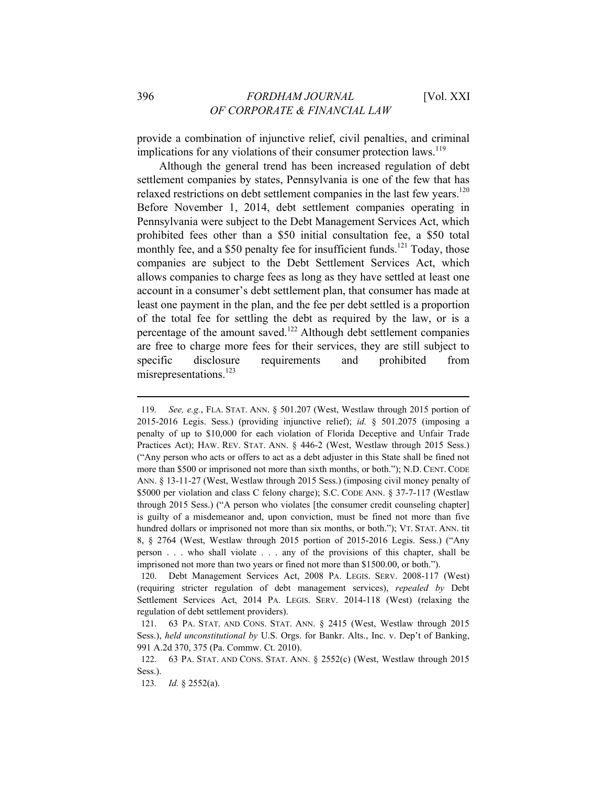provide a combination of injunctive relief, civil penalties, and criminal implications for any violations of their consumer protection laws.<sup>119</sup>

Although the general trend has been increased regulation of debt settlement companies by states, Pennsylvania is one of the few that has relaxed restrictions on debt settlement companies in the last few years.<sup>120</sup> Before November 1, 2014, debt settlement companies operating in Pennsylvania were subject to the Debt Management Services Act, which prohibited fees other than a \$50 initial consultation fee, a \$50 total monthly fee, and a \$50 penalty fee for insufficient funds.<sup>121</sup> Today, those companies are subject to the Debt Settlement Services Act, which allows companies to charge fees as long as they have settled at least one account in a consumer's debt settlement plan, that consumer has made at least one payment in the plan, and the fee per debt settled is a proportion of the total fee for settling the debt as required by the law, or is a percentage of the amount saved.122 Although debt settlement companies are free to charge more fees for their services, they are still subject to specific disclosure requirements and prohibited from misrepresentations.<sup>123</sup>

<sup>119</sup>*. See, e.g.*, FLA. STAT. ANN. § 501.207 (West, Westlaw through 2015 portion of 2015-2016 Legis. Sess.) (providing injunctive relief); *id.* § 501.2075 (imposing a penalty of up to \$10,000 for each violation of Florida Deceptive and Unfair Trade Practices Act); HAW. REV. STAT. ANN. § 446-2 (West, Westlaw through 2015 Sess.) ("Any person who acts or offers to act as a debt adjuster in this State shall be fined not more than \$500 or imprisoned not more than sixth months, or both."); N.D. CENT. CODE ANN. § 13-11-27 (West, Westlaw through 2015 Sess.) (imposing civil money penalty of \$5000 per violation and class C felony charge); S.C. CODE ANN. § 37-7-117 (Westlaw through 2015 Sess.) ("A person who violates [the consumer credit counseling chapter] is guilty of a misdemeanor and, upon conviction, must be fined not more than five hundred dollars or imprisoned not more than six months, or both."); VT. STAT. ANN. tit 8, § 2764 (West, Westlaw through 2015 portion of 2015-2016 Legis. Sess.) ("Any person . . . who shall violate . . . any of the provisions of this chapter, shall be imprisoned not more than two years or fined not more than \$1500.00, or both.").

<sup>120.</sup> Debt Management Services Act, 2008 PA. LEGIS. SERV. 2008-117 (West) (requiring stricter regulation of debt management services), *repealed by* Debt Settlement Services Act, 2014 PA. LEGIS. SERV. 2014-118 (West) (relaxing the regulation of debt settlement providers).

<sup>121. 63</sup> PA. STAT. AND CONS. STAT. ANN. § 2415 (West, Westlaw through 2015 Sess.), *held unconstitutional by* U.S. Orgs. for Bankr. Alts., Inc. v. Dep't of Banking, 991 A.2d 370, 375 (Pa. Commw. Ct. 2010).

<sup>122. 63</sup> PA. STAT. AND CONS. STAT. ANN. § 2552(c) (West, Westlaw through 2015 Sess.).

<sup>123</sup>*. Id.* § 2552(a).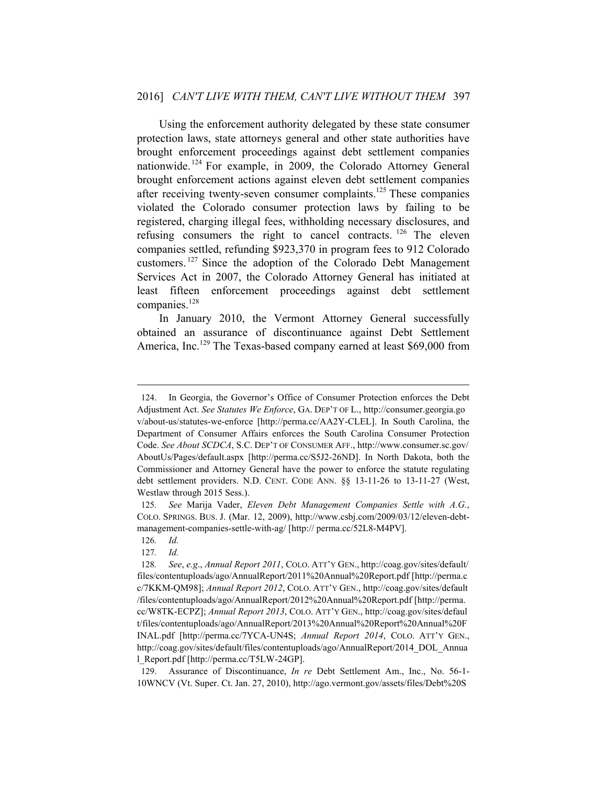Using the enforcement authority delegated by these state consumer protection laws, state attorneys general and other state authorities have brought enforcement proceedings against debt settlement companies nationwide. 124 For example, in 2009, the Colorado Attorney General brought enforcement actions against eleven debt settlement companies after receiving twenty-seven consumer complaints.<sup>125</sup> These companies violated the Colorado consumer protection laws by failing to be registered, charging illegal fees, withholding necessary disclosures, and refusing consumers the right to cancel contracts. 126 The eleven companies settled, refunding \$923,370 in program fees to 912 Colorado customers. 127 Since the adoption of the Colorado Debt Management Services Act in 2007, the Colorado Attorney General has initiated at least fifteen enforcement proceedings against debt settlement companies.<sup>128</sup>

In January 2010, the Vermont Attorney General successfully obtained an assurance of discontinuance against Debt Settlement America, Inc.<sup>129</sup> The Texas-based company earned at least \$69,000 from

<sup>124.</sup> In Georgia, the Governor's Office of Consumer Protection enforces the Debt Adjustment Act. *See Statutes We Enforce*, GA. DEP'T OF L., http://consumer.georgia.go v/about-us/statutes-we-enforce [http://perma.cc/AA2Y-CLEL]. In South Carolina, the Department of Consumer Affairs enforces the South Carolina Consumer Protection Code. *See About SCDCA*, S.C. DEP'T OF CONSUMER AFF., http://www.consumer.sc.gov/ AboutUs/Pages/default.aspx [http://perma.cc/S5J2-26ND]. In North Dakota, both the Commissioner and Attorney General have the power to enforce the statute regulating debt settlement providers. N.D. CENT. CODE ANN. §§ 13-11-26 to 13-11-27 (West, Westlaw through 2015 Sess.).

<sup>125</sup>*. See* Marija Vader, *Eleven Debt Management Companies Settle with A.G.*, COLO. SPRINGS. BUS. J. (Mar. 12, 2009), http://www.csbj.com/2009/03/12/eleven-debtmanagement-companies-settle-with-ag/ [http:// perma.cc/52L8-M4PV].

<sup>126</sup>*. Id.*

<sup>127</sup>*. Id.*

<sup>128</sup>*. See*, *e.g*., *Annual Report 2011*, COLO. ATT'Y GEN., http://coag.gov/sites/default/ files/contentuploads/ago/AnnualReport/2011%20Annual%20Report.pdf [http://perma.c c/7KKM-QM98]; *Annual Report 2012*, COLO. ATT'Y GEN., http://coag.gov/sites/default /files/contentuploads/ago/AnnualReport/2012%20Annual%20Report.pdf [http://perma. cc/W8TK-ECPZ]; *Annual Report 2013*, COLO. ATT'Y GEN., http://coag.gov/sites/defaul t/files/contentuploads/ago/AnnualReport/2013%20Annual%20Report%20Annual%20F INAL.pdf [http://perma.cc/7YCA-UN4S; *Annual Report 2014*, COLO. ATT'Y GEN., http://coag.gov/sites/default/files/contentuploads/ago/AnnualReport/2014\_DOL\_Annua l\_Report.pdf [http://perma.cc/T5LW-24GP].

<sup>129.</sup> Assurance of Discontinuance, *In re* Debt Settlement Am., Inc., No. 56-1- 10WNCV (Vt. Super. Ct. Jan. 27, 2010), http://ago.vermont.gov/assets/files/Debt%20S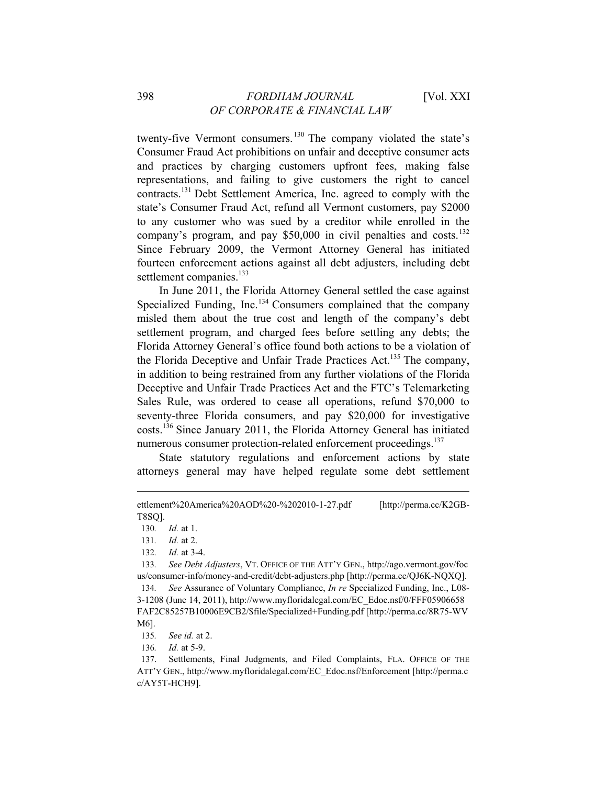twenty-five Vermont consumers.<sup>130</sup> The company violated the state's Consumer Fraud Act prohibitions on unfair and deceptive consumer acts and practices by charging customers upfront fees, making false representations, and failing to give customers the right to cancel contracts.131 Debt Settlement America, Inc. agreed to comply with the state's Consumer Fraud Act, refund all Vermont customers, pay \$2000 to any customer who was sued by a creditor while enrolled in the company's program, and pay  $$50,000$  in civil penalties and costs.<sup>132</sup> Since February 2009, the Vermont Attorney General has initiated fourteen enforcement actions against all debt adjusters, including debt settlement companies.<sup>133</sup>

In June 2011, the Florida Attorney General settled the case against Specialized Funding, Inc.<sup>134</sup> Consumers complained that the company misled them about the true cost and length of the company's debt settlement program, and charged fees before settling any debts; the Florida Attorney General's office found both actions to be a violation of the Florida Deceptive and Unfair Trade Practices Act.<sup>135</sup> The company, in addition to being restrained from any further violations of the Florida Deceptive and Unfair Trade Practices Act and the FTC's Telemarketing Sales Rule, was ordered to cease all operations, refund \$70,000 to seventy-three Florida consumers, and pay \$20,000 for investigative costs.136 Since January 2011, the Florida Attorney General has initiated numerous consumer protection-related enforcement proceedings.<sup>137</sup>

State statutory regulations and enforcement actions by state attorneys general may have helped regulate some debt settlement

ettlement%20America%20AOD%20-%202010-1-27.pdf [http://perma.cc/K2GB-T8SQ].

<sup>130</sup>*. Id.* at 1.

<sup>131</sup>*. Id.* at 2.

<sup>132</sup>*. Id.* at 3-4.

<sup>133</sup>*. See Debt Adjusters*, VT. OFFICE OF THE ATT'Y GEN., http://ago.vermont.gov/foc us/consumer-info/money-and-credit/debt-adjusters.php [http://perma.cc/QJ6K-NQXQ].

<sup>134</sup>*. See* Assurance of Voluntary Compliance, *In re* Specialized Funding, Inc., L08- 3-1208 (June 14, 2011), http://www.myfloridalegal.com/EC\_Edoc.nsf/0/FFF05906658 FAF2C85257B10006E9CB2/\$file/Specialized+Funding.pdf [http://perma.cc/8R75-WV M6].

<sup>135</sup>*. See id.* at 2.

<sup>136</sup>*. Id.* at 5-9.

<sup>137.</sup> Settlements, Final Judgments, and Filed Complaints, FLA. OFFICE OF THE ATT'Y GEN., http://www.myfloridalegal.com/EC\_Edoc.nsf/Enforcement [http://perma.c c/AY5T-HCH9].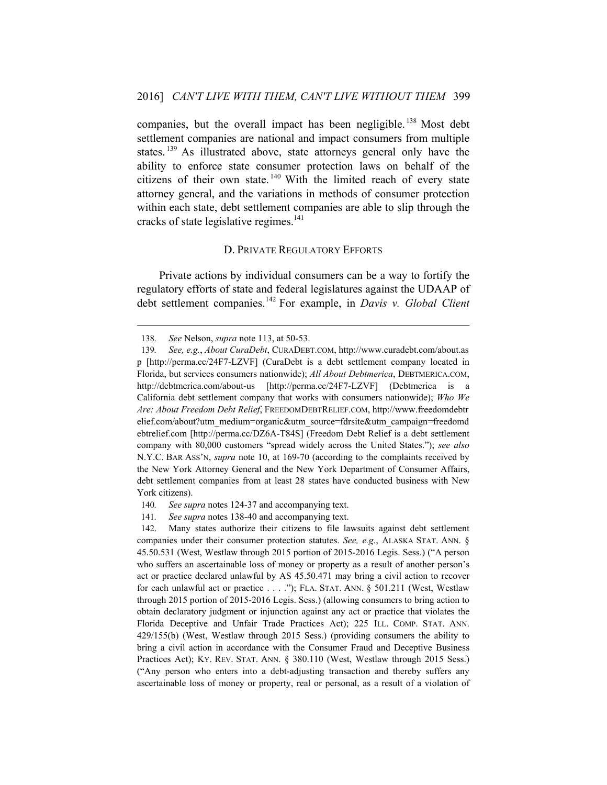companies, but the overall impact has been negligible.<sup>138</sup> Most debt settlement companies are national and impact consumers from multiple states.<sup>139</sup> As illustrated above, state attorneys general only have the ability to enforce state consumer protection laws on behalf of the citizens of their own state.<sup>140</sup> With the limited reach of every state attorney general, and the variations in methods of consumer protection within each state, debt settlement companies are able to slip through the cracks of state legislative regimes. $141$ 

## D. PRIVATE REGULATORY EFFORTS

Private actions by individual consumers can be a way to fortify the regulatory efforts of state and federal legislatures against the UDAAP of debt settlement companies.142 For example, in *Davis v. Global Client* 

 $\overline{a}$ 

- 140*. See supra* notes 124-37 and accompanying text.
- 141*. See supra* notes 138-40 and accompanying text.

142. Many states authorize their citizens to file lawsuits against debt settlement companies under their consumer protection statutes. *See, e.g.*, ALASKA STAT. ANN. § 45.50.531 (West, Westlaw through 2015 portion of 2015-2016 Legis. Sess.) ("A person who suffers an ascertainable loss of money or property as a result of another person's act or practice declared unlawful by AS 45.50.471 may bring a civil action to recover for each unlawful act or practice . . . ."); FLA. STAT. ANN. § 501.211 (West, Westlaw through 2015 portion of 2015-2016 Legis. Sess.) (allowing consumers to bring action to obtain declaratory judgment or injunction against any act or practice that violates the Florida Deceptive and Unfair Trade Practices Act); 225 ILL. COMP. STAT. ANN. 429/155(b) (West, Westlaw through 2015 Sess.) (providing consumers the ability to bring a civil action in accordance with the Consumer Fraud and Deceptive Business Practices Act); KY. REV. STAT. ANN. § 380.110 (West, Westlaw through 2015 Sess.) ("Any person who enters into a debt-adjusting transaction and thereby suffers any ascertainable loss of money or property, real or personal, as a result of a violation of

<sup>138</sup>*. See* Nelson, *supra* note 113, at 50-53.

<sup>139</sup>*. See, e.g.*, *About CuraDebt*, CURADEBT.COM, http://www.curadebt.com/about.as p [http://perma.cc/24F7-LZVF] (CuraDebt is a debt settlement company located in Florida, but services consumers nationwide); *All About Debtmerica*, DEBTMERICA.COM, http://debtmerica.com/about-us [http://perma.cc/24F7-LZVF] (Debtmerica is a California debt settlement company that works with consumers nationwide); *Who We Are: About Freedom Debt Relief*, FREEDOMDEBTRELIEF.COM, http://www.freedomdebtr elief.com/about?utm\_medium=organic&utm\_source=fdrsite&utm\_campaign=freedomd ebtrelief.com [http://perma.cc/DZ6A-T84S] (Freedom Debt Relief is a debt settlement company with 80,000 customers "spread widely across the United States."); *see also* N.Y.C. BAR ASS'N, *supra* note 10, at 169-70 (according to the complaints received by the New York Attorney General and the New York Department of Consumer Affairs, debt settlement companies from at least 28 states have conducted business with New York citizens).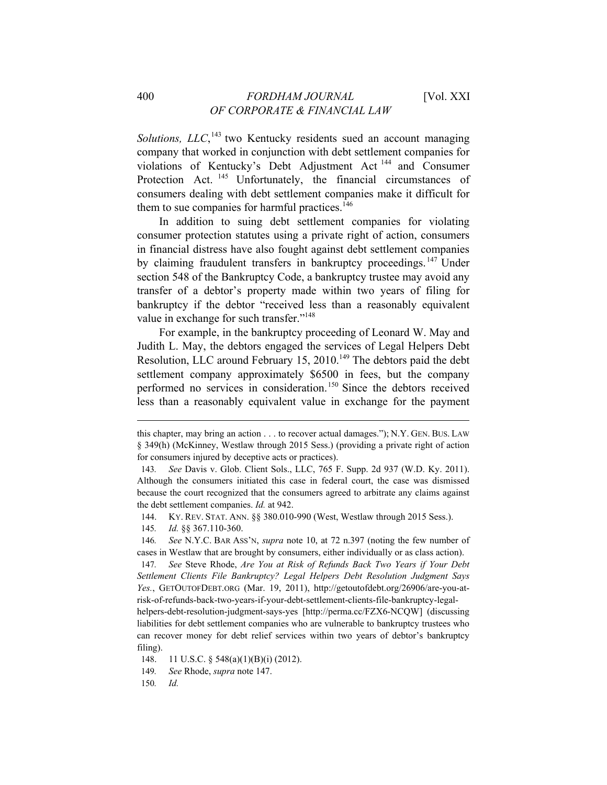Solutions, *LLC*,<sup>143</sup> two Kentucky residents sued an account managing company that worked in conjunction with debt settlement companies for violations of Kentucky's Debt Adjustment Act 144 and Consumer Protection Act.<sup>145</sup> Unfortunately, the financial circumstances of consumers dealing with debt settlement companies make it difficult for them to sue companies for harmful practices. $146$ 

In addition to suing debt settlement companies for violating consumer protection statutes using a private right of action, consumers in financial distress have also fought against debt settlement companies by claiming fraudulent transfers in bankruptcy proceedings.<sup>147</sup> Under section 548 of the Bankruptcy Code, a bankruptcy trustee may avoid any transfer of a debtor's property made within two years of filing for bankruptcy if the debtor "received less than a reasonably equivalent value in exchange for such transfer."<sup>148</sup>

For example, in the bankruptcy proceeding of Leonard W. May and Judith L. May, the debtors engaged the services of Legal Helpers Debt Resolution, LLC around February 15, 2010.<sup>149</sup> The debtors paid the debt settlement company approximately \$6500 in fees, but the company performed no services in consideration.<sup>150</sup> Since the debtors received less than a reasonably equivalent value in exchange for the payment

this chapter, may bring an action . . . to recover actual damages."); N.Y. GEN. BUS. LAW § 349(h) (McKinney, Westlaw through 2015 Sess.) (providing a private right of action for consumers injured by deceptive acts or practices).

<sup>143</sup>*. See* Davis v. Glob. Client Sols., LLC, 765 F. Supp. 2d 937 (W.D. Ky. 2011). Although the consumers initiated this case in federal court, the case was dismissed because the court recognized that the consumers agreed to arbitrate any claims against the debt settlement companies. *Id.* at 942.

<sup>144.</sup> KY. REV. STAT. ANN. §§ 380.010-990 (West, Westlaw through 2015 Sess.).

<sup>145</sup>*. Id.* §§ 367.110-360.

<sup>146</sup>*. See* N.Y.C. BAR ASS'N, *supra* note 10, at 72 n.397 (noting the few number of cases in Westlaw that are brought by consumers, either individually or as class action).

<sup>147</sup>*. See* Steve Rhode, *Are You at Risk of Refunds Back Two Years if Your Debt Settlement Clients File Bankruptcy? Legal Helpers Debt Resolution Judgment Says Yes.*, GETOUTOFDEBT.ORG (Mar. 19, 2011), http://getoutofdebt.org/26906/are-you-atrisk-of-refunds-back-two-years-if-your-debt-settlement-clients-file-bankruptcy-legal-

helpers-debt-resolution-judgment-says-yes [http://perma.cc/FZX6-NCQW] (discussing liabilities for debt settlement companies who are vulnerable to bankruptcy trustees who can recover money for debt relief services within two years of debtor's bankruptcy filing).

<sup>148. 11</sup> U.S.C. § 548(a)(1)(B)(i) (2012).

<sup>149</sup>*. See* Rhode, *supra* note 147.

<sup>150</sup>*. Id.*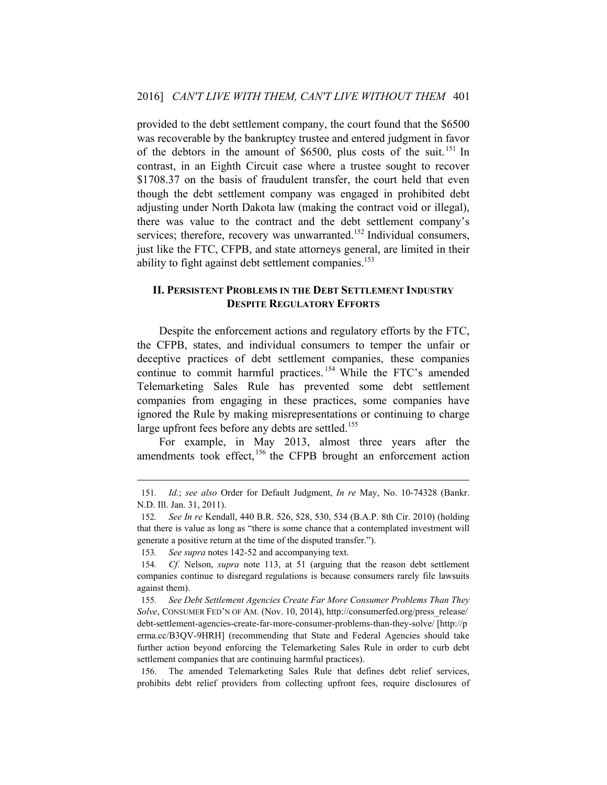provided to the debt settlement company, the court found that the \$6500 was recoverable by the bankruptcy trustee and entered judgment in favor of the debtors in the amount of \$6500, plus costs of the suit. 151 In contrast, in an Eighth Circuit case where a trustee sought to recover \$1708.37 on the basis of fraudulent transfer, the court held that even though the debt settlement company was engaged in prohibited debt adjusting under North Dakota law (making the contract void or illegal), there was value to the contract and the debt settlement company's services; therefore, recovery was unwarranted.<sup>152</sup> Individual consumers, just like the FTC, CFPB, and state attorneys general, are limited in their ability to fight against debt settlement companies.<sup>153</sup>

#### **II. PERSISTENT PROBLEMS IN THE DEBT SETTLEMENT INDUSTRY DESPITE REGULATORY EFFORTS**

Despite the enforcement actions and regulatory efforts by the FTC, the CFPB, states, and individual consumers to temper the unfair or deceptive practices of debt settlement companies, these companies continue to commit harmful practices. 154 While the FTC's amended Telemarketing Sales Rule has prevented some debt settlement companies from engaging in these practices, some companies have ignored the Rule by making misrepresentations or continuing to charge large upfront fees before any debts are settled.<sup>155</sup>

For example, in May 2013, almost three years after the amendments took effect, <sup>156</sup> the CFPB brought an enforcement action

 $\overline{a}$ 

156. The amended Telemarketing Sales Rule that defines debt relief services, prohibits debt relief providers from collecting upfront fees, require disclosures of

<sup>151</sup>*. Id.*; *see also* Order for Default Judgment, *In re* May, No. 10-74328 (Bankr. N.D. Ill. Jan. 31, 2011).

<sup>152</sup>*. See In re* Kendall, 440 B.R. 526, 528, 530, 534 (B.A.P. 8th Cir. 2010) (holding that there is value as long as "there is some chance that a contemplated investment will generate a positive return at the time of the disputed transfer.").

<sup>153</sup>*. See supra* notes 142-52 and accompanying text.

<sup>154</sup>*. Cf.* Nelson, *supra* note 113, at 51 (arguing that the reason debt settlement companies continue to disregard regulations is because consumers rarely file lawsuits against them).

<sup>155</sup>*. See Debt Settlement Agencies Create Far More Consumer Problems Than They Solve*, CONSUMER FED'N OF AM. (Nov. 10, 2014), http://consumerfed.org/press\_release/ debt-settlement-agencies-create-far-more-consumer-problems-than-they-solve/ [http://p erma.cc/B3QV-9HRH] (recommending that State and Federal Agencies should take further action beyond enforcing the Telemarketing Sales Rule in order to curb debt settlement companies that are continuing harmful practices).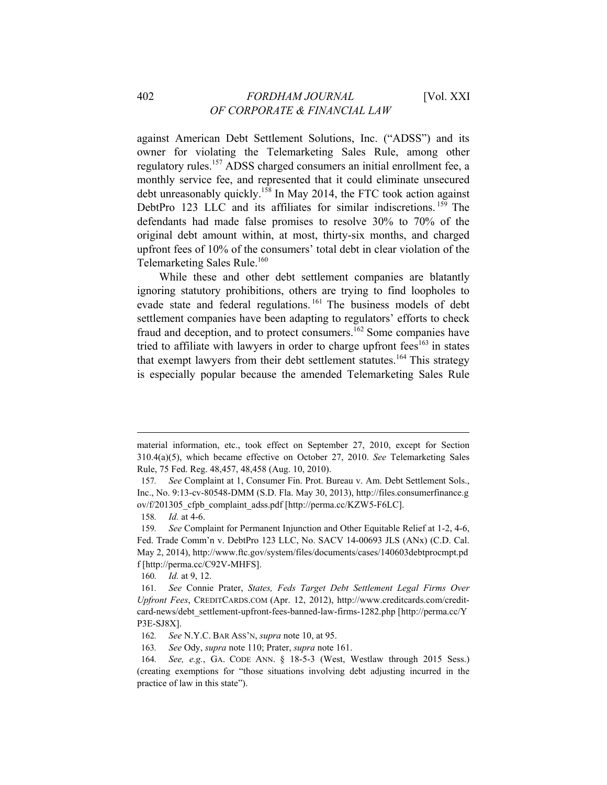against American Debt Settlement Solutions, Inc. ("ADSS") and its owner for violating the Telemarketing Sales Rule, among other regulatory rules.157 ADSS charged consumers an initial enrollment fee, a monthly service fee, and represented that it could eliminate unsecured debt unreasonably quickly.<sup>158</sup> In May 2014, the FTC took action against DebtPro 123 LLC and its affiliates for similar indiscretions.<sup>159</sup> The defendants had made false promises to resolve 30% to 70% of the original debt amount within, at most, thirty-six months, and charged upfront fees of 10% of the consumers' total debt in clear violation of the Telemarketing Sales Rule.<sup>160</sup>

While these and other debt settlement companies are blatantly ignoring statutory prohibitions, others are trying to find loopholes to evade state and federal regulations. 161 The business models of debt settlement companies have been adapting to regulators' efforts to check fraud and deception, and to protect consumers.<sup>162</sup> Some companies have tried to affiliate with lawyers in order to charge upfront  $fees^{163}$  in states that exempt lawyers from their debt settlement statutes.<sup>164</sup> This strategy is especially popular because the amended Telemarketing Sales Rule

material information, etc., took effect on September 27, 2010, except for Section 310.4(a)(5), which became effective on October 27, 2010. *See* Telemarketing Sales Rule, 75 Fed. Reg. 48,457, 48,458 (Aug. 10, 2010).

<sup>157</sup>*. See* Complaint at 1, Consumer Fin. Prot. Bureau v. Am. Debt Settlement Sols., Inc., No. 9:13-cv-80548-DMM (S.D. Fla. May 30, 2013), http://files.consumerfinance.g ov/f/201305\_cfpb\_complaint\_adss.pdf [http://perma.cc/KZW5-F6LC].

<sup>158</sup>*. Id.* at 4-6.

<sup>159</sup>*. See* Complaint for Permanent Injunction and Other Equitable Relief at 1-2, 4-6, Fed. Trade Comm'n v. DebtPro 123 LLC, No. SACV 14-00693 JLS (ANx) (C.D. Cal. May 2, 2014), http://www.ftc.gov/system/files/documents/cases/140603debtprocmpt.pd f [http://perma.cc/C92V-MHFS].

<sup>160</sup>*. Id.* at 9, 12.

<sup>161</sup>*. See* Connie Prater, *States, Feds Target Debt Settlement Legal Firms Over Upfront Fees*, CREDITCARDS.COM (Apr. 12, 2012), http://www.creditcards.com/creditcard-news/debt\_settlement-upfront-fees-banned-law-firms-1282.php [http://perma.cc/Y P3E-SJ8X].

<sup>162</sup>*. See* N.Y.C. BAR ASS'N, *supra* note 10, at 95.

<sup>163</sup>*. See* Ody, *supra* note 110; Prater, *supra* note 161.

<sup>164</sup>*. See, e.g.*, GA. CODE ANN. § 18-5-3 (West, Westlaw through 2015 Sess.) (creating exemptions for "those situations involving debt adjusting incurred in the practice of law in this state").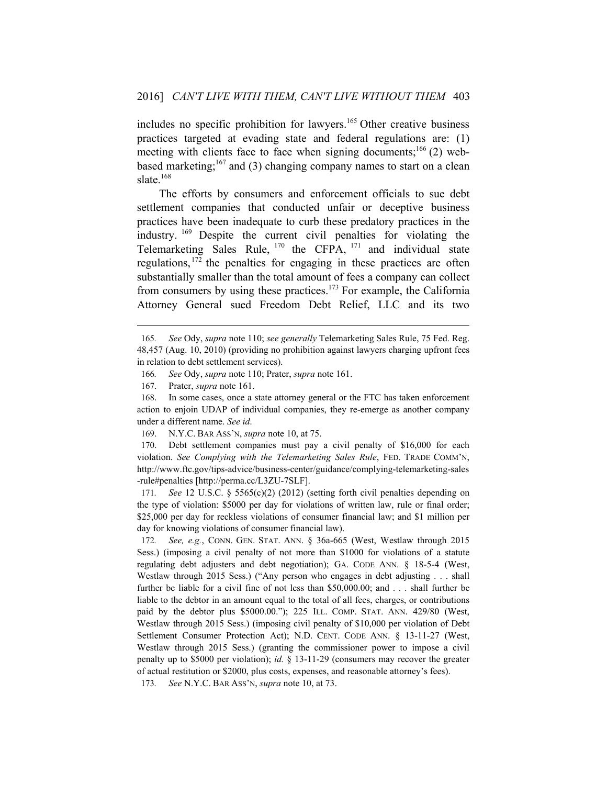includes no specific prohibition for lawyers.<sup>165</sup> Other creative business practices targeted at evading state and federal regulations are: (1) meeting with clients face to face when signing documents;<sup>166</sup> (2) webbased marketing;<sup>167</sup> and (3) changing company names to start on a clean slate. $168$ 

The efforts by consumers and enforcement officials to sue debt settlement companies that conducted unfair or deceptive business practices have been inadequate to curb these predatory practices in the industry. 169 Despite the current civil penalties for violating the Telemarketing Sales Rule,  $^{170}$  the CFPA,  $^{171}$  and individual state regulations, 172 the penalties for engaging in these practices are often substantially smaller than the total amount of fees a company can collect from consumers by using these practices.<sup>173</sup> For example, the California Attorney General sued Freedom Debt Relief, LLC and its two

 $\overline{a}$ 

170. Debt settlement companies must pay a civil penalty of \$16,000 for each violation. *See Complying with the Telemarketing Sales Rule*, FED. TRADE COMM'N, http://www.ftc.gov/tips-advice/business-center/guidance/complying-telemarketing-sales -rule#penalties [http://perma.cc/L3ZU-7SLF].

171*. See* 12 U.S.C. § 5565(c)(2) (2012) (setting forth civil penalties depending on the type of violation: \$5000 per day for violations of written law, rule or final order; \$25,000 per day for reckless violations of consumer financial law; and \$1 million per day for knowing violations of consumer financial law).

172*. See, e.g.*, CONN. GEN. STAT. ANN. § 36a-665 (West, Westlaw through 2015 Sess.) (imposing a civil penalty of not more than \$1000 for violations of a statute regulating debt adjusters and debt negotiation); GA. CODE ANN. § 18-5-4 (West, Westlaw through 2015 Sess.) ("Any person who engages in debt adjusting . . . shall further be liable for a civil fine of not less than \$50,000.00; and . . . shall further be liable to the debtor in an amount equal to the total of all fees, charges, or contributions paid by the debtor plus \$5000.00."); 225 ILL. COMP. STAT. ANN. 429/80 (West, Westlaw through 2015 Sess.) (imposing civil penalty of \$10,000 per violation of Debt Settlement Consumer Protection Act); N.D. CENT. CODE ANN. § 13-11-27 (West, Westlaw through 2015 Sess.) (granting the commissioner power to impose a civil penalty up to \$5000 per violation); *id.* § 13-11-29 (consumers may recover the greater of actual restitution or \$2000, plus costs, expenses, and reasonable attorney's fees).

173*. See* N.Y.C. BAR ASS'N, *supra* note 10, at 73.

<sup>165</sup>*. See* Ody, *supra* note 110; *see generally* Telemarketing Sales Rule, 75 Fed. Reg. 48,457 (Aug. 10, 2010) (providing no prohibition against lawyers charging upfront fees in relation to debt settlement services).

<sup>166</sup>*. See* Ody, *supra* note 110; Prater, *supra* note 161.

<sup>167.</sup> Prater, *supra* note 161.

<sup>168.</sup> In some cases, once a state attorney general or the FTC has taken enforcement action to enjoin UDAP of individual companies, they re-emerge as another company under a different name. *See id*.

<sup>169.</sup> N.Y.C. BAR ASS'N, *supra* note 10, at 75.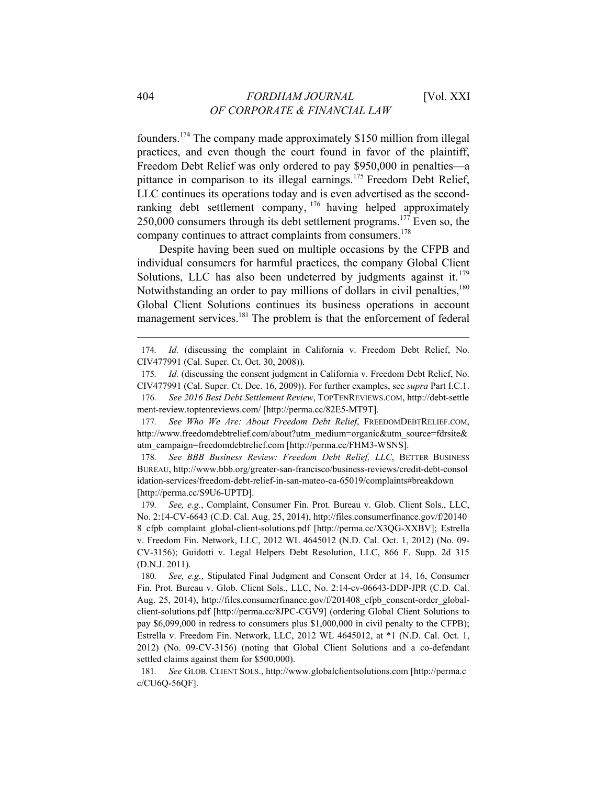founders.174 The company made approximately \$150 million from illegal practices, and even though the court found in favor of the plaintiff, Freedom Debt Relief was only ordered to pay \$950,000 in penalties—a pittance in comparison to its illegal earnings.<sup>175</sup> Freedom Debt Relief, LLC continues its operations today and is even advertised as the secondranking debt settlement company, <sup>176</sup> having helped approximately 250,000 consumers through its debt settlement programs.177 Even so, the company continues to attract complaints from consumers.178

Despite having been sued on multiple occasions by the CFPB and individual consumers for harmful practices, the company Global Client Solutions, LLC has also been undeterred by judgments against it.  $179$ Notwithstanding an order to pay millions of dollars in civil penalties,  $180$ Global Client Solutions continues its business operations in account management services.<sup>181</sup> The problem is that the enforcement of federal

177*. See Who We Are: About Freedom Debt Relief*, FREEDOMDEBTRELIEF.COM, http://www.freedomdebtrelief.com/about?utm\_medium=organic&utm\_source=fdrsite& utm\_campaign=freedomdebtrelief.com [http://perma.cc/FHM3-WSNS].

178*. See BBB Business Review: Freedom Debt Relief, LLC*, BETTER BUSINESS BUREAU, http://www.bbb.org/greater-san-francisco/business-reviews/credit-debt-consol idation-services/freedom-debt-relief-in-san-mateo-ca-65019/complaints#breakdown [http://perma.cc/S9U6-UPTD].

179*. See, e.g.*, Complaint, Consumer Fin. Prot. Bureau v. Glob. Client Sols., LLC, No. 2:14-CV-6643 (C.D. Cal. Aug. 25, 2014), http://files.consumerfinance.gov/f/20140 8\_cfpb\_complaint\_global-client-solutions.pdf [http://perma.cc/X3QG-XXBV]; Estrella v. Freedom Fin. Network, LLC, 2012 WL 4645012 (N.D. Cal. Oct. 1, 2012) (No. 09- CV-3156); Guidotti v. Legal Helpers Debt Resolution, LLC, 866 F. Supp. 2d 315 (D.N.J. 2011).

180*. See, e.g.*, Stipulated Final Judgment and Consent Order at 14, 16, Consumer Fin. Prot. Bureau v. Glob. Client Sols., LLC, No. 2:14-cv-06643-DDP-JPR (C.D. Cal. Aug. 25, 2014), http://files.consumerfinance.gov/f/201408 cfpb consent-order globalclient-solutions.pdf [http://perma.cc/8JPC-CGV9] (ordering Global Client Solutions to pay \$6,099,000 in redress to consumers plus \$1,000,000 in civil penalty to the CFPB); Estrella v. Freedom Fin. Network, LLC, 2012 WL 4645012, at \*1 (N.D. Cal. Oct. 1, 2012) (No. 09-CV-3156) (noting that Global Client Solutions and a co-defendant settled claims against them for \$500,000).

181*. See* GLOB. CLIENT SOLS., http://www.globalclientsolutions.com [http://perma.c c/CU6Q-56QF].

<sup>174</sup>*. Id.* (discussing the complaint in California v. Freedom Debt Relief, No. CIV477991 (Cal. Super. Ct. Oct. 30, 2008)).

<sup>175</sup>*. Id.* (discussing the consent judgment in California v. Freedom Debt Relief, No. CIV477991 (Cal. Super. Ct. Dec. 16, 2009)). For further examples, see *supra* Part I.C.1.

<sup>176</sup>*. See 2016 Best Debt Settlement Review*, TOPTENREVIEWS.COM, http://debt-settle ment-review.toptenreviews.com/ [http://perma.cc/82E5-MT9T].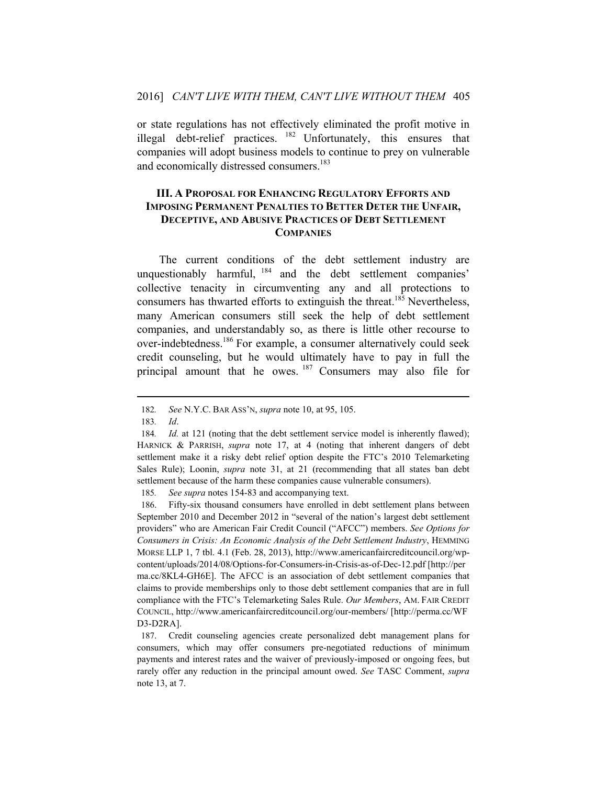or state regulations has not effectively eliminated the profit motive in illegal debt-relief practices. <sup>182</sup> Unfortunately, this ensures that companies will adopt business models to continue to prey on vulnerable and economically distressed consumers.<sup>183</sup>

# **III. A PROPOSAL FOR ENHANCING REGULATORY EFFORTS AND IMPOSING PERMANENT PENALTIES TO BETTER DETER THE UNFAIR, DECEPTIVE, AND ABUSIVE PRACTICES OF DEBT SETTLEMENT COMPANIES**

The current conditions of the debt settlement industry are unquestionably harmful, <sup>184</sup> and the debt settlement companies' collective tenacity in circumventing any and all protections to consumers has thwarted efforts to extinguish the threat.<sup>185</sup> Nevertheless, many American consumers still seek the help of debt settlement companies, and understandably so, as there is little other recourse to over-indebtedness.<sup>186</sup> For example, a consumer alternatively could seek credit counseling, but he would ultimately have to pay in full the principal amount that he owes. <sup>187</sup> Consumers may also file for

 $\overline{a}$ 

185*. See supra* notes 154-83 and accompanying text.

186. Fifty-six thousand consumers have enrolled in debt settlement plans between September 2010 and December 2012 in "several of the nation's largest debt settlement providers" who are American Fair Credit Council ("AFCC") members. *See Options for Consumers in Crisis: An Economic Analysis of the Debt Settlement Industry*, HEMMING MORSE LLP 1, 7 tbl. 4.1 (Feb. 28, 2013), http://www.americanfaircreditcouncil.org/wpcontent/uploads/2014/08/Options-for-Consumers-in-Crisis-as-of-Dec-12.pdf [http://per ma.cc/8KL4-GH6E]. The AFCC is an association of debt settlement companies that claims to provide memberships only to those debt settlement companies that are in full compliance with the FTC's Telemarketing Sales Rule. *Our Members*, AM. FAIR CREDIT COUNCIL, http://www.americanfaircreditcouncil.org/our-members/ [http://perma.cc/WF D3-D2RA].

187. Credit counseling agencies create personalized debt management plans for consumers, which may offer consumers pre-negotiated reductions of minimum payments and interest rates and the waiver of previously-imposed or ongoing fees, but rarely offer any reduction in the principal amount owed. *See* TASC Comment, *supra* note 13, at 7.

<sup>182</sup>*. See* N.Y.C. BAR ASS'N, *supra* note 10, at 95, 105.

<sup>183</sup>*. Id*.

<sup>184.</sup> *Id.* at 121 (noting that the debt settlement service model is inherently flawed); HARNICK & PARRISH, *supra* note 17, at 4 (noting that inherent dangers of debt settlement make it a risky debt relief option despite the FTC's 2010 Telemarketing Sales Rule); Loonin, *supra* note 31, at 21 (recommending that all states ban debt settlement because of the harm these companies cause vulnerable consumers).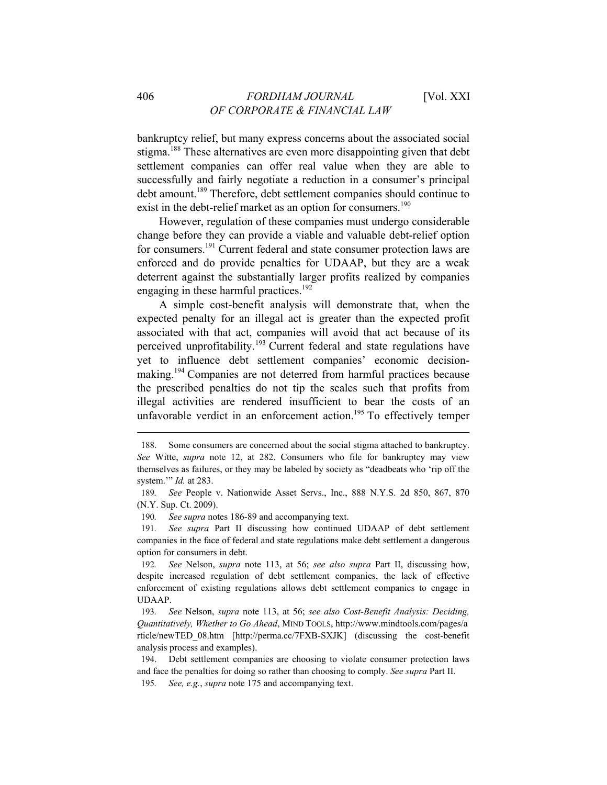bankruptcy relief, but many express concerns about the associated social stigma.<sup>188</sup> These alternatives are even more disappointing given that debt settlement companies can offer real value when they are able to successfully and fairly negotiate a reduction in a consumer's principal debt amount.<sup>189</sup> Therefore, debt settlement companies should continue to exist in the debt-relief market as an option for consumers.<sup>190</sup>

However, regulation of these companies must undergo considerable change before they can provide a viable and valuable debt-relief option for consumers.<sup>191</sup> Current federal and state consumer protection laws are enforced and do provide penalties for UDAAP, but they are a weak deterrent against the substantially larger profits realized by companies engaging in these harmful practices.<sup>192</sup>

A simple cost-benefit analysis will demonstrate that, when the expected penalty for an illegal act is greater than the expected profit associated with that act, companies will avoid that act because of its perceived unprofitability.193 Current federal and state regulations have yet to influence debt settlement companies' economic decisionmaking.<sup>194</sup> Companies are not deterred from harmful practices because the prescribed penalties do not tip the scales such that profits from illegal activities are rendered insufficient to bear the costs of an unfavorable verdict in an enforcement action.<sup>195</sup> To effectively temper

190*. See supra* notes 186-89 and accompanying text.

191*. See supra* Part II discussing how continued UDAAP of debt settlement companies in the face of federal and state regulations make debt settlement a dangerous option for consumers in debt.

193*. See* Nelson, *supra* note 113, at 56; *see also Cost-Benefit Analysis: Deciding, Quantitatively, Whether to Go Ahead*, MIND TOOLS, http://www.mindtools.com/pages/a rticle/newTED\_08.htm [http://perma.cc/7FXB-SXJK] (discussing the cost-benefit analysis process and examples).

195*. See, e.g.*, *supra* note 175 and accompanying text.

<sup>188.</sup> Some consumers are concerned about the social stigma attached to bankruptcy. *See* Witte, *supra* note 12, at 282. Consumers who file for bankruptcy may view themselves as failures, or they may be labeled by society as "deadbeats who 'rip off the system.'" *Id.* at 283.

<sup>189</sup>*. See* People v. Nationwide Asset Servs., Inc., 888 N.Y.S. 2d 850, 867, 870 (N.Y. Sup. Ct. 2009).

<sup>192</sup>*. See* Nelson, *supra* note 113, at 56; *see also supra* Part II, discussing how, despite increased regulation of debt settlement companies, the lack of effective enforcement of existing regulations allows debt settlement companies to engage in UDAAP.

<sup>194.</sup> Debt settlement companies are choosing to violate consumer protection laws and face the penalties for doing so rather than choosing to comply. *See supra* Part II.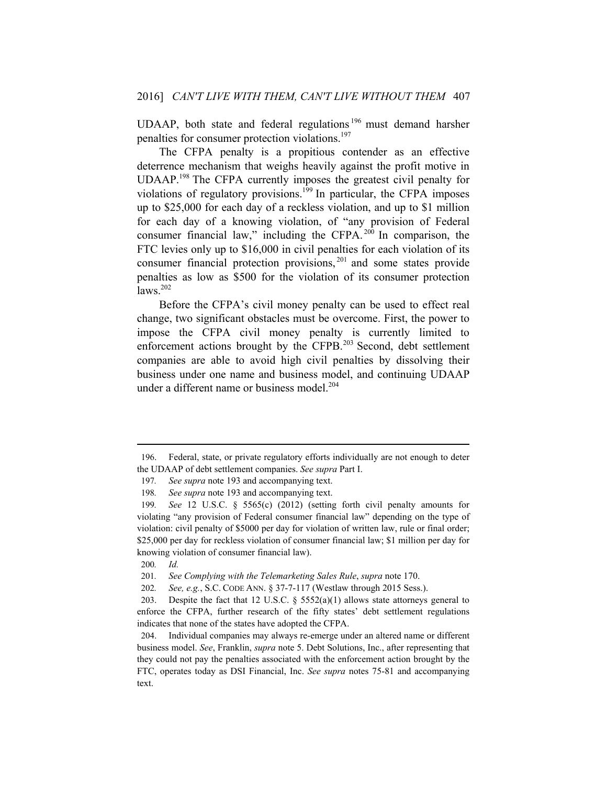UDAAP, both state and federal regulations<sup>196</sup> must demand harsher penalties for consumer protection violations.197

The CFPA penalty is a propitious contender as an effective deterrence mechanism that weighs heavily against the profit motive in UDAAP.198 The CFPA currently imposes the greatest civil penalty for violations of regulatory provisions.<sup>199</sup> In particular, the CFPA imposes up to \$25,000 for each day of a reckless violation, and up to \$1 million for each day of a knowing violation, of "any provision of Federal consumer financial law," including the CFPA.<sup>200</sup> In comparison, the FTC levies only up to \$16,000 in civil penalties for each violation of its consumer financial protection provisions, 201 and some states provide penalties as low as \$500 for the violation of its consumer protection  $\text{laws}^{202}$ 

Before the CFPA's civil money penalty can be used to effect real change, two significant obstacles must be overcome. First, the power to impose the CFPA civil money penalty is currently limited to enforcement actions brought by the CFPB.203 Second, debt settlement companies are able to avoid high civil penalties by dissolving their business under one name and business model, and continuing UDAAP under a different name or business model.<sup>204</sup>

<sup>196.</sup> Federal, state, or private regulatory efforts individually are not enough to deter the UDAAP of debt settlement companies. *See supra* Part I.

<sup>197</sup>*. See supra* note 193 and accompanying text.

<sup>198</sup>*. See supra* note 193 and accompanying text.

<sup>199</sup>*. See* 12 U.S.C. § 5565(c) (2012) (setting forth civil penalty amounts for violating "any provision of Federal consumer financial law" depending on the type of violation: civil penalty of \$5000 per day for violation of written law, rule or final order; \$25,000 per day for reckless violation of consumer financial law; \$1 million per day for knowing violation of consumer financial law).

<sup>200</sup>*. Id.*

<sup>201</sup>*. See Complying with the Telemarketing Sales Rule*, *supra* note 170.

<sup>202</sup>*. See, e.g.*, S.C. CODE ANN. § 37-7-117 (Westlaw through 2015 Sess.).

<sup>203.</sup> Despite the fact that 12 U.S.C. § 5552(a)(1) allows state attorneys general to enforce the CFPA, further research of the fifty states' debt settlement regulations indicates that none of the states have adopted the CFPA.

<sup>204.</sup> Individual companies may always re-emerge under an altered name or different business model. *See*, Franklin, *supra* note 5. Debt Solutions, Inc., after representing that they could not pay the penalties associated with the enforcement action brought by the FTC, operates today as DSI Financial, Inc. *See supra* notes 75-81 and accompanying text.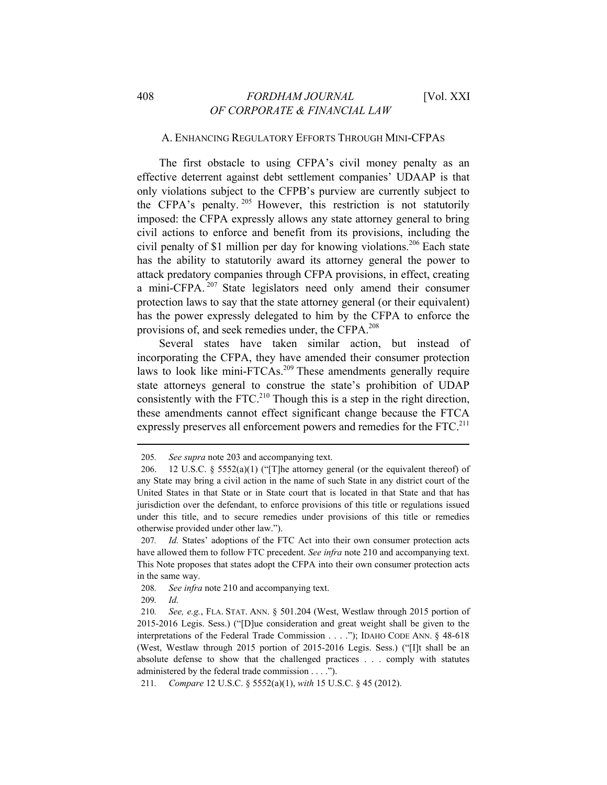#### A. ENHANCING REGULATORY EFFORTS THROUGH MINI-CFPAS

The first obstacle to using CFPA's civil money penalty as an effective deterrent against debt settlement companies' UDAAP is that only violations subject to the CFPB's purview are currently subject to the CFPA's penalty. 205 However, this restriction is not statutorily imposed: the CFPA expressly allows any state attorney general to bring civil actions to enforce and benefit from its provisions, including the civil penalty of \$1 million per day for knowing violations.<sup>206</sup> Each state has the ability to statutorily award its attorney general the power to attack predatory companies through CFPA provisions, in effect, creating a mini-CFPA. 207 State legislators need only amend their consumer protection laws to say that the state attorney general (or their equivalent) has the power expressly delegated to him by the CFPA to enforce the provisions of, and seek remedies under, the CFPA.208

Several states have taken similar action, but instead of incorporating the CFPA, they have amended their consumer protection laws to look like mini-FTCAs.<sup>209</sup> These amendments generally require state attorneys general to construe the state's prohibition of UDAP consistently with the FTC.<sup>210</sup> Though this is a step in the right direction, these amendments cannot effect significant change because the FTCA expressly preserves all enforcement powers and remedies for the  $\text{FTC}$ <sup>211</sup>

<sup>205</sup>*. See supra* note 203 and accompanying text.

<sup>206. 12</sup> U.S.C. § 5552(a)(1) ("[T]he attorney general (or the equivalent thereof) of any State may bring a civil action in the name of such State in any district court of the United States in that State or in State court that is located in that State and that has jurisdiction over the defendant, to enforce provisions of this title or regulations issued under this title, and to secure remedies under provisions of this title or remedies otherwise provided under other law.").

<sup>207</sup>*. Id.* States' adoptions of the FTC Act into their own consumer protection acts have allowed them to follow FTC precedent. *See infra* note 210 and accompanying text. This Note proposes that states adopt the CFPA into their own consumer protection acts in the same way.

<sup>208</sup>*. See infra* note 210 and accompanying text.

<sup>209</sup>*. Id.*

<sup>210</sup>*. See, e.g.*, FLA. STAT. ANN. § 501.204 (West, Westlaw through 2015 portion of 2015-2016 Legis. Sess.) ("[D]ue consideration and great weight shall be given to the interpretations of the Federal Trade Commission . . . ."); IDAHO CODE ANN. § 48-618 (West, Westlaw through 2015 portion of 2015-2016 Legis. Sess.) ("[I]t shall be an absolute defense to show that the challenged practices . . . comply with statutes administered by the federal trade commission . . . .").

<sup>211</sup>*. Compare* 12 U.S.C. § 5552(a)(1), *with* 15 U.S.C. § 45 (2012).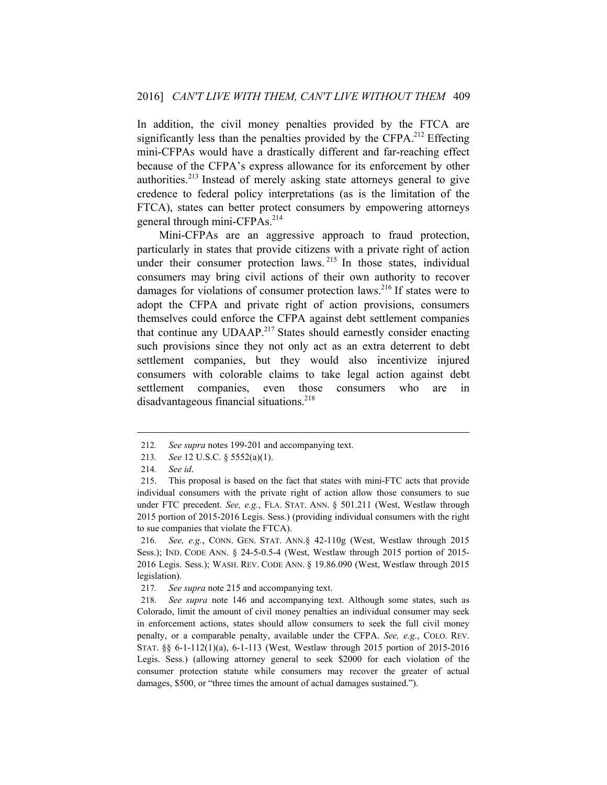In addition, the civil money penalties provided by the FTCA are significantly less than the penalties provided by the CFPA.<sup>212</sup> Effecting mini-CFPAs would have a drastically different and far-reaching effect because of the CFPA's express allowance for its enforcement by other authorities.213 Instead of merely asking state attorneys general to give credence to federal policy interpretations (as is the limitation of the FTCA), states can better protect consumers by empowering attorneys general through mini-CFPAs.<sup>214</sup>

Mini-CFPAs are an aggressive approach to fraud protection, particularly in states that provide citizens with a private right of action under their consumer protection laws. <sup>215</sup> In those states, individual consumers may bring civil actions of their own authority to recover damages for violations of consumer protection laws.<sup>216</sup> If states were to adopt the CFPA and private right of action provisions, consumers themselves could enforce the CFPA against debt settlement companies that continue any  $UDAAP<sup>217</sup>$  States should earnestly consider enacting such provisions since they not only act as an extra deterrent to debt settlement companies, but they would also incentivize injured consumers with colorable claims to take legal action against debt settlement companies, even those consumers who are in disadvantageous financial situations.<sup>218</sup>

<sup>212</sup>*. See supra* notes 199-201 and accompanying text.

<sup>213</sup>*. See* 12 U.S.C. § 5552(a)(1).

<sup>214</sup>*. See id*.

<sup>215.</sup> This proposal is based on the fact that states with mini-FTC acts that provide individual consumers with the private right of action allow those consumers to sue under FTC precedent. *See, e.g.*, FLA. STAT. ANN. § 501.211 (West, Westlaw through 2015 portion of 2015-2016 Legis. Sess.) (providing individual consumers with the right to sue companies that violate the FTCA).

<sup>216</sup>*. See, e.g.*, CONN. GEN. STAT. ANN.§ 42-110g (West, Westlaw through 2015 Sess.); IND. CODE ANN. § 24-5-0.5-4 (West, Westlaw through 2015 portion of 2015- 2016 Legis. Sess.); WASH. REV. CODE ANN. § 19.86.090 (West, Westlaw through 2015 legislation).

<sup>217</sup>*. See supra* note 215 and accompanying text.

<sup>218</sup>*. See supra* note 146 and accompanying text. Although some states, such as Colorado, limit the amount of civil money penalties an individual consumer may seek in enforcement actions, states should allow consumers to seek the full civil money penalty, or a comparable penalty, available under the CFPA. *See, e.g.*, COLO. REV. STAT. §§ 6-1-112(1)(a), 6-1-113 (West, Westlaw through 2015 portion of 2015-2016 Legis. Sess.) (allowing attorney general to seek \$2000 for each violation of the consumer protection statute while consumers may recover the greater of actual damages, \$500, or "three times the amount of actual damages sustained.").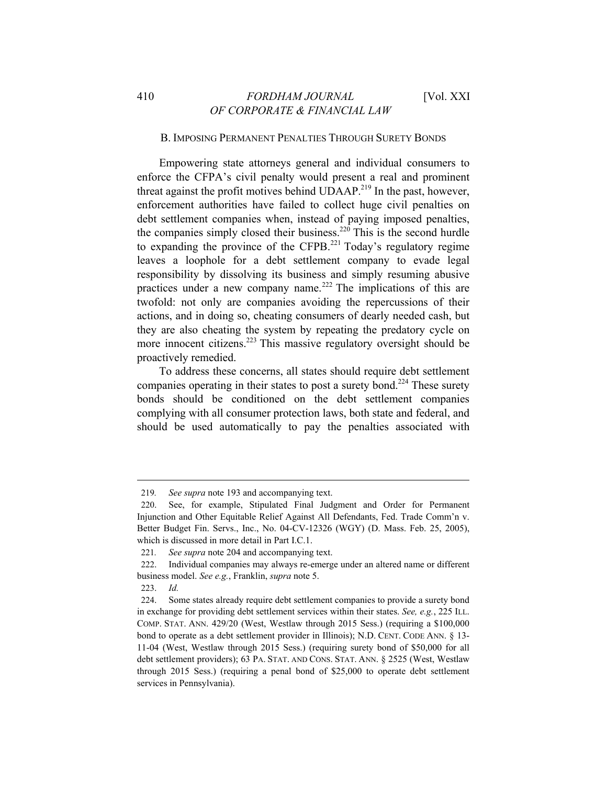#### B. IMPOSING PERMANENT PENALTIES THROUGH SURETY BONDS

Empowering state attorneys general and individual consumers to enforce the CFPA's civil penalty would present a real and prominent threat against the profit motives behind  $UDAAP<sup>219</sup>$  In the past, however, enforcement authorities have failed to collect huge civil penalties on debt settlement companies when, instead of paying imposed penalties, the companies simply closed their business.<sup>220</sup> This is the second hurdle to expanding the province of the CFPB.<sup>221</sup> Today's regulatory regime leaves a loophole for a debt settlement company to evade legal responsibility by dissolving its business and simply resuming abusive practices under a new company name.<sup>222</sup> The implications of this are twofold: not only are companies avoiding the repercussions of their actions, and in doing so, cheating consumers of dearly needed cash, but they are also cheating the system by repeating the predatory cycle on more innocent citizens.<sup>223</sup> This massive regulatory oversight should be proactively remedied.

To address these concerns, all states should require debt settlement companies operating in their states to post a surety bond.<sup>224</sup> These surety bonds should be conditioned on the debt settlement companies complying with all consumer protection laws, both state and federal, and should be used automatically to pay the penalties associated with

<sup>219</sup>*. See supra* note 193 and accompanying text.

<sup>220.</sup> See, for example, Stipulated Final Judgment and Order for Permanent Injunction and Other Equitable Relief Against All Defendants, Fed. Trade Comm'n v. Better Budget Fin. Servs., Inc., No. 04-CV-12326 (WGY) (D. Mass. Feb. 25, 2005), which is discussed in more detail in Part I.C.1.

<sup>221</sup>*. See supra* note 204 and accompanying text.

<sup>222.</sup> Individual companies may always re-emerge under an altered name or different business model. *See e.g.*, Franklin, *supra* note 5.

<sup>223.</sup> *Id.* 

<sup>224.</sup> Some states already require debt settlement companies to provide a surety bond in exchange for providing debt settlement services within their states. *See, e.g.*, 225 ILL. COMP. STAT. ANN. 429/20 (West, Westlaw through 2015 Sess.) (requiring a \$100,000 bond to operate as a debt settlement provider in Illinois); N.D. CENT. CODE ANN. § 13- 11-04 (West, Westlaw through 2015 Sess.) (requiring surety bond of \$50,000 for all debt settlement providers); 63 PA. STAT. AND CONS. STAT. ANN. § 2525 (West, Westlaw through 2015 Sess.) (requiring a penal bond of \$25,000 to operate debt settlement services in Pennsylvania).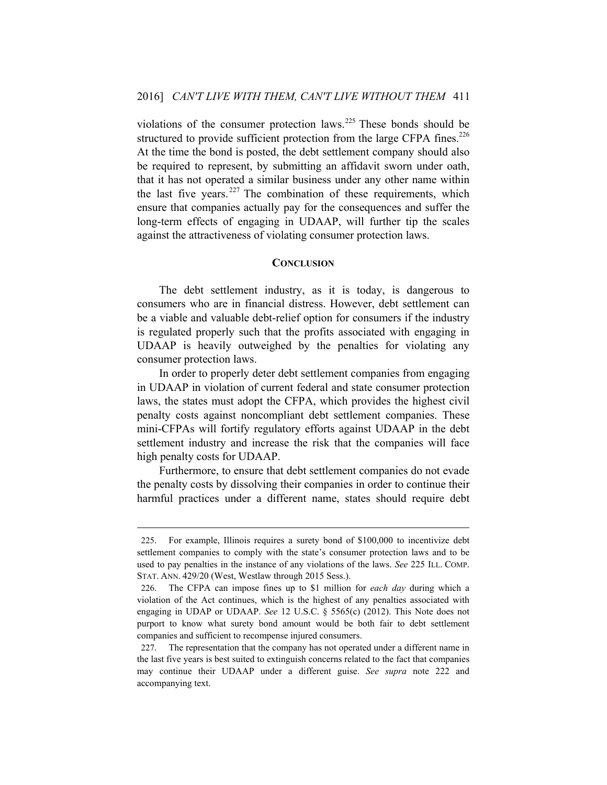violations of the consumer protection laws.<sup>225</sup> These bonds should be structured to provide sufficient protection from the large CFPA fines.<sup>226</sup> At the time the bond is posted, the debt settlement company should also be required to represent, by submitting an affidavit sworn under oath, that it has not operated a similar business under any other name within the last five years. $227$  The combination of these requirements, which ensure that companies actually pay for the consequences and suffer the long-term effects of engaging in UDAAP, will further tip the scales against the attractiveness of violating consumer protection laws.

#### **CONCLUSION**

The debt settlement industry, as it is today, is dangerous to consumers who are in financial distress. However, debt settlement can be a viable and valuable debt-relief option for consumers if the industry is regulated properly such that the profits associated with engaging in UDAAP is heavily outweighed by the penalties for violating any consumer protection laws.

In order to properly deter debt settlement companies from engaging in UDAAP in violation of current federal and state consumer protection laws, the states must adopt the CFPA, which provides the highest civil penalty costs against noncompliant debt settlement companies. These mini-CFPAs will fortify regulatory efforts against UDAAP in the debt settlement industry and increase the risk that the companies will face high penalty costs for UDAAP.

Furthermore, to ensure that debt settlement companies do not evade the penalty costs by dissolving their companies in order to continue their harmful practices under a different name, states should require debt

<sup>225.</sup> For example, Illinois requires a surety bond of \$100,000 to incentivize debt settlement companies to comply with the state's consumer protection laws and to be used to pay penalties in the instance of any violations of the laws. *See* 225 ILL. COMP. STAT. ANN. 429/20 (West, Westlaw through 2015 Sess.).

<sup>226.</sup> The CFPA can impose fines up to \$1 million for *each day* during which a violation of the Act continues, which is the highest of any penalties associated with engaging in UDAP or UDAAP. *See* 12 U.S.C. § 5565(c) (2012). This Note does not purport to know what surety bond amount would be both fair to debt settlement companies and sufficient to recompense injured consumers.

<sup>227.</sup> The representation that the company has not operated under a different name in the last five years is best suited to extinguish concerns related to the fact that companies may continue their UDAAP under a different guise. *See supra* note 222 and accompanying text.